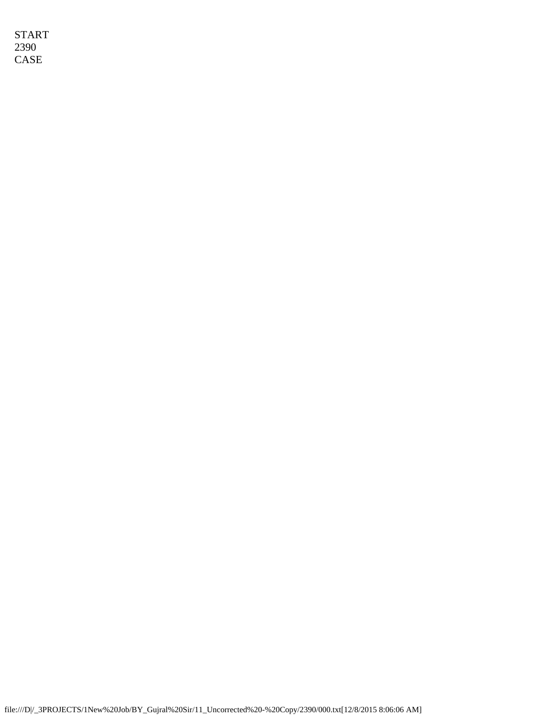START 2390 CASE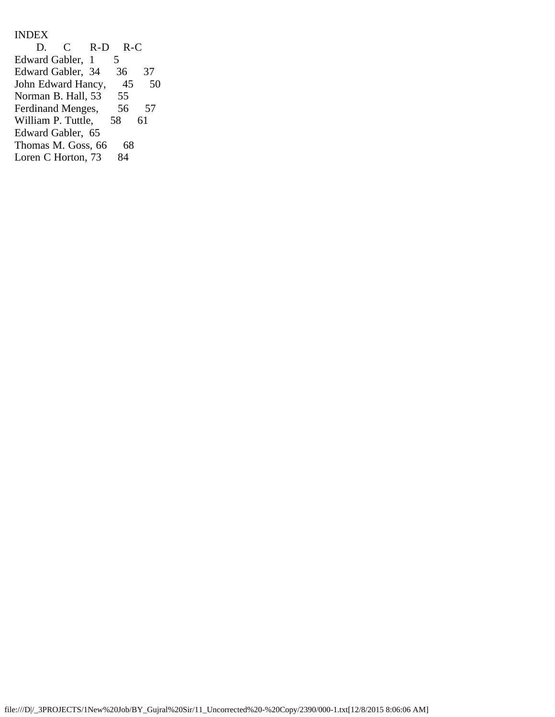INDEX<br>D.  $C$  R-D R-C<br>abler, 1 5 Edward Gabler, 1 5<br>Edward Gabler, 34 36 Edward Gabler, 34 36 37<br>John Edward Hancy, 45 50 John Edward Hancy, 45<br>Norman B. Hall, 53 55 Norman B. Hall, 53 55<br>Ferdinand Menges, 56 Ferdinand Menges, 56 57<br>William P. Tuttle, 58 61 William P. Tuttle, Edward Gabler, 65 Thomas M. Goss, 66 68<br>Loren C Horton, 73 84 Loren C Horton, 73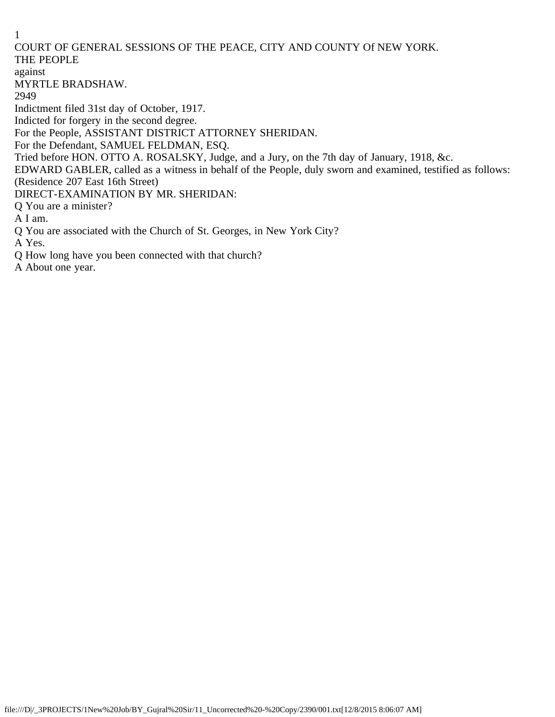## COURT OF GENERAL SESSIONS OF THE PEACE, CITY AND COUNTY Of NEW YORK. THE PEOPLE

## against

MYRTLE BRADSHAW.

2949

Indictment filed 31st day of October, 1917.

Indicted for forgery in the second degree.

For the People, ASSISTANT DISTRICT ATTORNEY SHERIDAN.

For the Defendant, SAMUEL FELDMAN, ESQ.

Tried before HON. OTTO A. ROSALSKY, Judge, and a Jury, on the 7th day of January, 1918, &c.

EDWARD GABLER, called as a witness in behalf of the People, duly sworn and examined, testified as follows: (Residence 207 East 16th Street)

DIRECT-EXAMINATION BY MR. SHERIDAN:

Q You are a minister?

A I am.

Q You are associated with the Church of St. Georges, in New York City?

A Yes.

Q How long have you been connected with that church?

A About one year.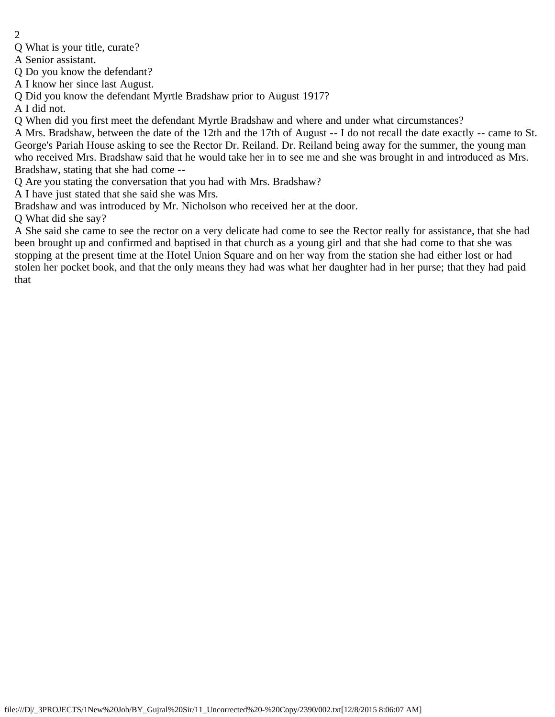- 2
- Q What is your title, curate?

A Senior assistant.

Q Do you know the defendant?

A I know her since last August.

Q Did you know the defendant Myrtle Bradshaw prior to August 1917?

A I did not.

Q When did you first meet the defendant Myrtle Bradshaw and where and under what circumstances?

A Mrs. Bradshaw, between the date of the 12th and the 17th of August -- I do not recall the date exactly -- came to St. George's Pariah House asking to see the Rector Dr. Reiland. Dr. Reiland being away for the summer, the young man who received Mrs. Bradshaw said that he would take her in to see me and she was brought in and introduced as Mrs. Bradshaw, stating that she had come --

Q Are you stating the conversation that you had with Mrs. Bradshaw?

A I have just stated that she said she was Mrs.

Bradshaw and was introduced by Mr. Nicholson who received her at the door.

Q What did she say?

A She said she came to see the rector on a very delicate had come to see the Rector really for assistance, that she had been brought up and confirmed and baptised in that church as a young girl and that she had come to that she was stopping at the present time at the Hotel Union Square and on her way from the station she had either lost or had stolen her pocket book, and that the only means they had was what her daughter had in her purse; that they had paid that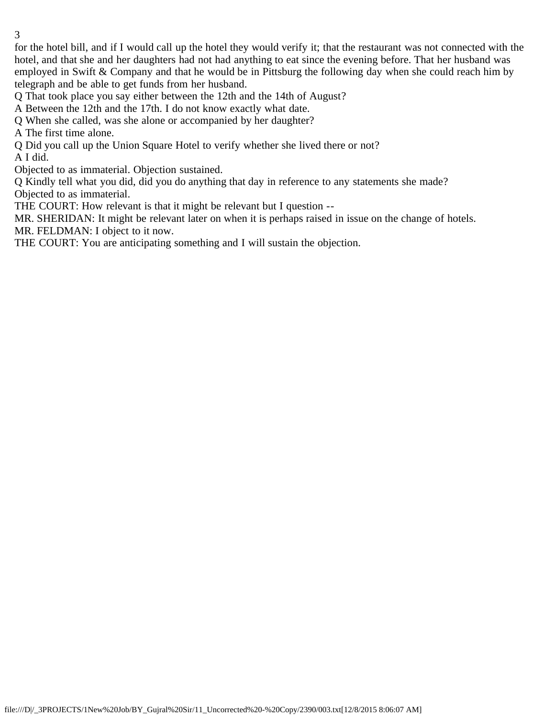for the hotel bill, and if I would call up the hotel they would verify it; that the restaurant was not connected with the hotel, and that she and her daughters had not had anything to eat since the evening before. That her husband was employed in Swift & Company and that he would be in Pittsburg the following day when she could reach him by telegraph and be able to get funds from her husband.

Q That took place you say either between the 12th and the 14th of August?

A Between the 12th and the 17th. I do not know exactly what date.

Q When she called, was she alone or accompanied by her daughter?

A The first time alone.

Q Did you call up the Union Square Hotel to verify whether she lived there or not?

A I did.

Objected to as immaterial. Objection sustained.

Q Kindly tell what you did, did you do anything that day in reference to any statements she made? Objected to as immaterial.

THE COURT: How relevant is that it might be relevant but I question --

MR. SHERIDAN: It might be relevant later on when it is perhaps raised in issue on the change of hotels. MR. FELDMAN: I object to it now.

THE COURT: You are anticipating something and I will sustain the objection.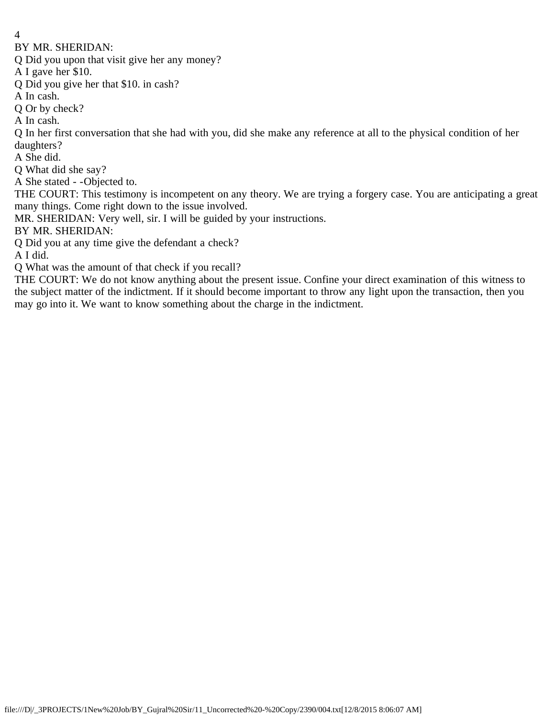BY MR. SHERIDAN:

Q Did you upon that visit give her any money?

A I gave her \$10.

Q Did you give her that \$10. in cash?

A In cash.

Q Or by check?

A In cash.

Q In her first conversation that she had with you, did she make any reference at all to the physical condition of her daughters?

A She did.

Q What did she say?

A She stated - -Objected to.

THE COURT: This testimony is incompetent on any theory. We are trying a forgery case. You are anticipating a great many things. Come right down to the issue involved.

MR. SHERIDAN: Very well, sir. I will be guided by your instructions.

BY MR. SHERIDAN:

Q Did you at any time give the defendant a check?

A I did.

Q What was the amount of that check if you recall?

THE COURT: We do not know anything about the present issue. Confine your direct examination of this witness to the subject matter of the indictment. If it should become important to throw any light upon the transaction, then you may go into it. We want to know something about the charge in the indictment.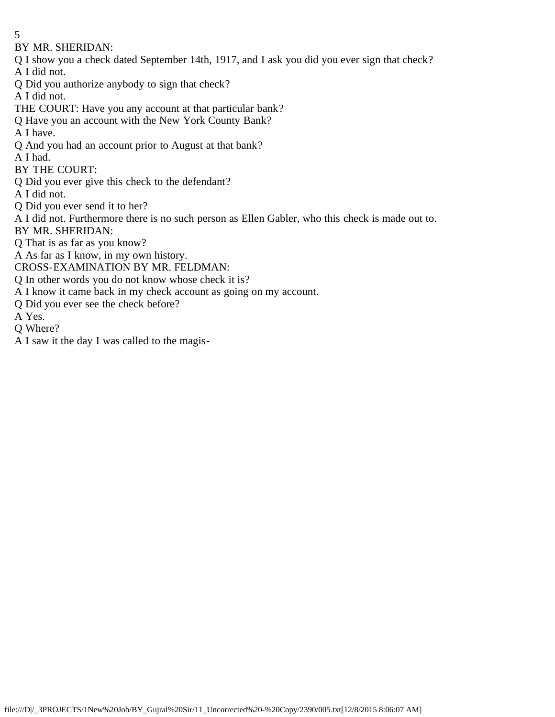- 5
- BY MR. SHERIDAN:
- Q I show you a check dated September 14th, 1917, and I ask you did you ever sign that check?
- A I did not.
- Q Did you authorize anybody to sign that check?
- A I did not.
- THE COURT: Have you any account at that particular bank?
- Q Have you an account with the New York County Bank?
- A I have.
- Q And you had an account prior to August at that bank?
- A I had.
- BY THE COURT:
- Q Did you ever give this check to the defendant?
- A I did not.
- Q Did you ever send it to her?
- A I did not. Furthermore there is no such person as Ellen Gabler, who this check is made out to.
- BY MR. SHERIDAN:
- Q That is as far as you know?
- A As far as I know, in my own history.
- CROSS-EXAMINATION BY MR. FELDMAN:
- Q In other words you do not know whose check it is?
- A I know it came back in my check account as going on my account.
- Q Did you ever see the check before?
- A Yes.
- Q Where?
- A I saw it the day I was called to the magis-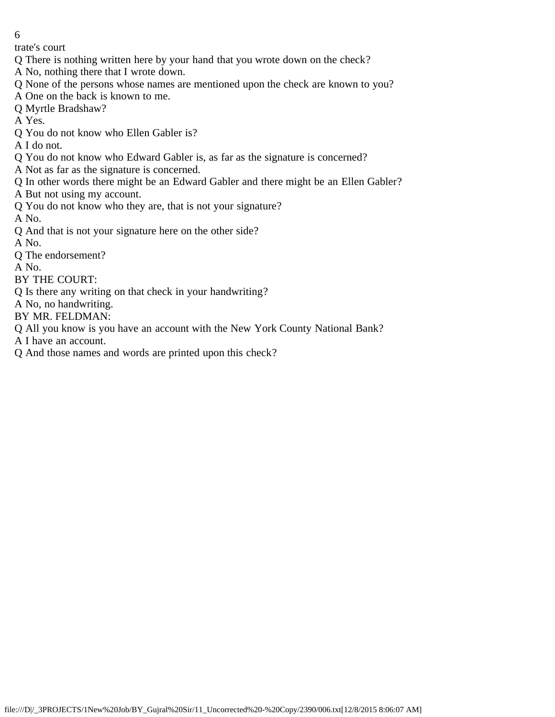trate's court

- Q There is nothing written here by your hand that you wrote down on the check?
- A No, nothing there that I wrote down.
- Q None of the persons whose names are mentioned upon the check are known to you?
- A One on the back is known to me.
- Q Myrtle Bradshaw?
- A Yes.
- Q You do not know who Ellen Gabler is?
- A I do not.
- Q You do not know who Edward Gabler is, as far as the signature is concerned?
- A Not as far as the signature is concerned.
- Q In other words there might be an Edward Gabler and there might be an Ellen Gabler?
- A But not using my account.
- Q You do not know who they are, that is not your signature?
- A No.
- Q And that is not your signature here on the other side?
- A No.
- Q The endorsement?
- A No.
- BY THE COURT:
- Q Is there any writing on that check in your handwriting?
- A No, no handwriting.
- BY MR. FELDMAN:
- Q All you know is you have an account with the New York County National Bank?
- A I have an account.
- Q And those names and words are printed upon this check?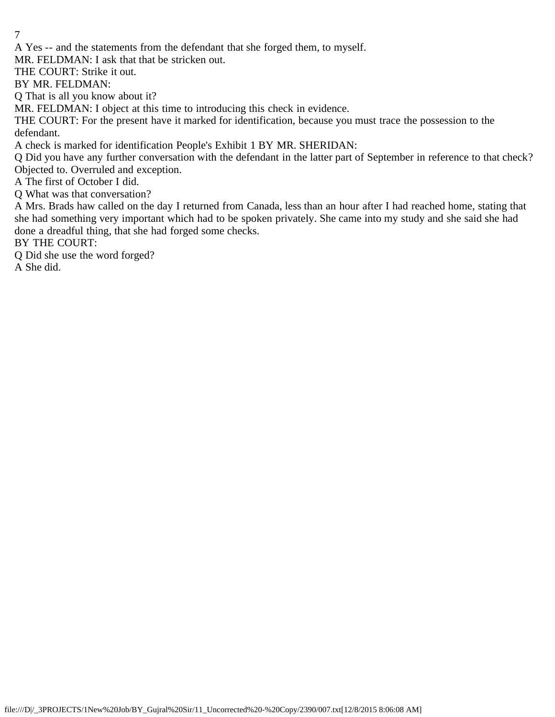A Yes -- and the statements from the defendant that she forged them, to myself.

MR. FELDMAN: I ask that that be stricken out.

THE COURT: Strike it out.

BY MR. FELDMAN:

Q That is all you know about it?

MR. FELDMAN: I object at this time to introducing this check in evidence.

THE COURT: For the present have it marked for identification, because you must trace the possession to the defendant.

A check is marked for identification People's Exhibit 1 BY MR. SHERIDAN:

Q Did you have any further conversation with the defendant in the latter part of September in reference to that check? Objected to. Overruled and exception.

A The first of October I did.

Q What was that conversation?

A Mrs. Brads haw called on the day I returned from Canada, less than an hour after I had reached home, stating that she had something very important which had to be spoken privately. She came into my study and she said she had done a dreadful thing, that she had forged some checks.

BY THE COURT:

Q Did she use the word forged?

A She did.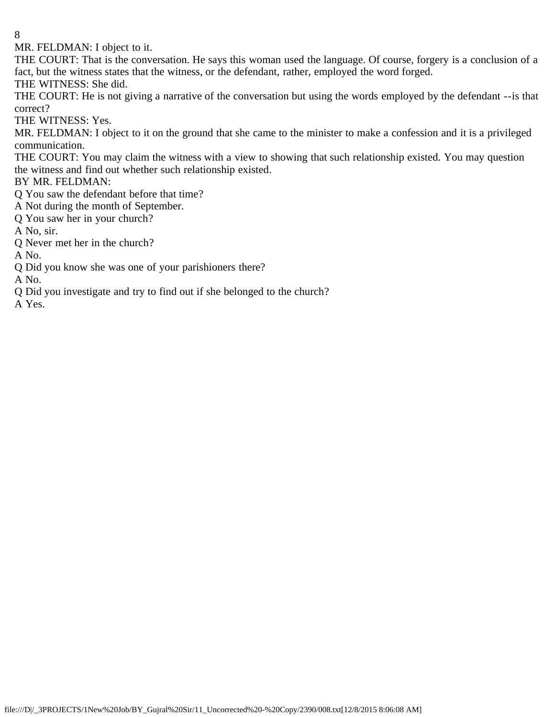MR. FELDMAN: I object to it.

THE COURT: That is the conversation. He says this woman used the language. Of course, forgery is a conclusion of a fact, but the witness states that the witness, or the defendant, rather, employed the word forged. THE WITNESS: She did.

THE COURT: He is not giving a narrative of the conversation but using the words employed by the defendant --is that correct?

THE WITNESS: Yes.

MR. FELDMAN: I object to it on the ground that she came to the minister to make a confession and it is a privileged communication.

THE COURT: You may claim the witness with a view to showing that such relationship existed. You may question the witness and find out whether such relationship existed.

BY MR. FELDMAN:

Q You saw the defendant before that time?

A Not during the month of September.

Q You saw her in your church?

A No, sir.

Q Never met her in the church?

A No.

Q Did you know she was one of your parishioners there?

A No.

Q Did you investigate and try to find out if she belonged to the church?

A Yes.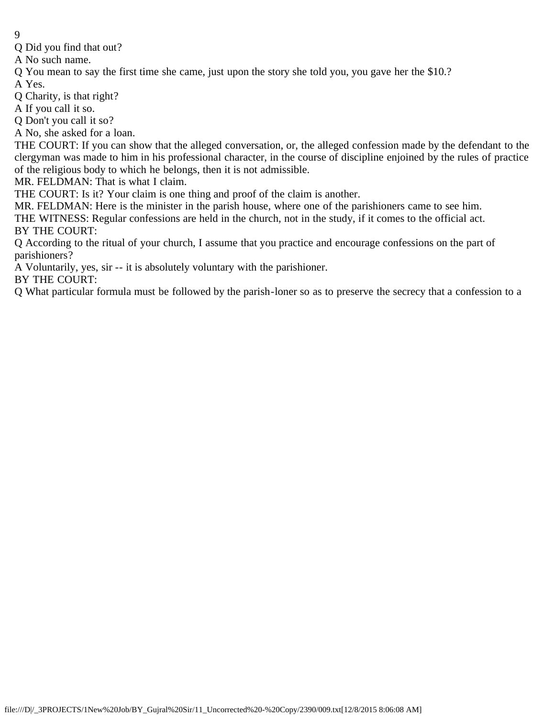- 9
- Q Did you find that out?

A No such name.

Q You mean to say the first time she came, just upon the story she told you, you gave her the \$10.?

A Yes.

Q Charity, is that right?

A If you call it so.

Q Don't you call it so?

A No, she asked for a loan.

THE COURT: If you can show that the alleged conversation, or, the alleged confession made by the defendant to the clergyman was made to him in his professional character, in the course of discipline enjoined by the rules of practice of the religious body to which he belongs, then it is not admissible.

MR. FELDMAN: That is what I claim.

THE COURT: Is it? Your claim is one thing and proof of the claim is another.

MR. FELDMAN: Here is the minister in the parish house, where one of the parishioners came to see him.

THE WITNESS: Regular confessions are held in the church, not in the study, if it comes to the official act. BY THE COURT:

Q According to the ritual of your church, I assume that you practice and encourage confessions on the part of parishioners?

A Voluntarily, yes, sir -- it is absolutely voluntary with the parishioner.

BY THE COURT:

Q What particular formula must be followed by the parish-loner so as to preserve the secrecy that a confession to a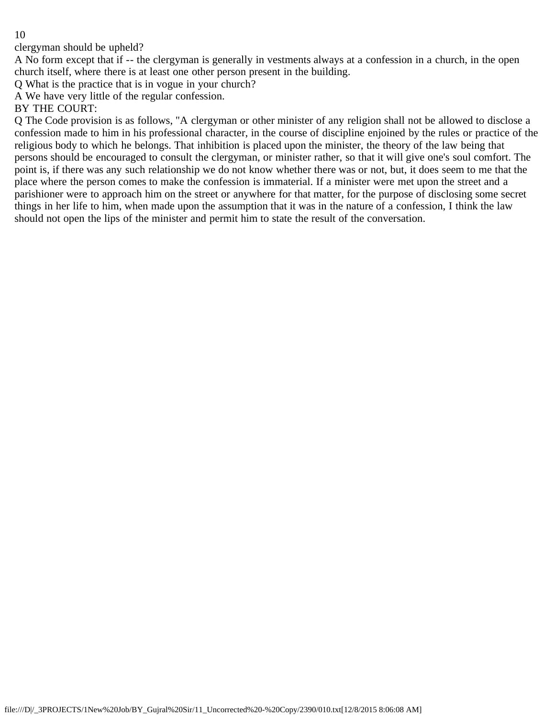clergyman should be upheld?

A No form except that if -- the clergyman is generally in vestments always at a confession in a church, in the open church itself, where there is at least one other person present in the building.

Q What is the practice that is in vogue in your church?

A We have very little of the regular confession.

BY THE COURT:

Q The Code provision is as follows, "A clergyman or other minister of any religion shall not be allowed to disclose a confession made to him in his professional character, in the course of discipline enjoined by the rules or practice of the religious body to which he belongs. That inhibition is placed upon the minister, the theory of the law being that persons should be encouraged to consult the clergyman, or minister rather, so that it will give one's soul comfort. The point is, if there was any such relationship we do not know whether there was or not, but, it does seem to me that the place where the person comes to make the confession is immaterial. If a minister were met upon the street and a parishioner were to approach him on the street or anywhere for that matter, for the purpose of disclosing some secret things in her life to him, when made upon the assumption that it was in the nature of a confession, I think the law should not open the lips of the minister and permit him to state the result of the conversation.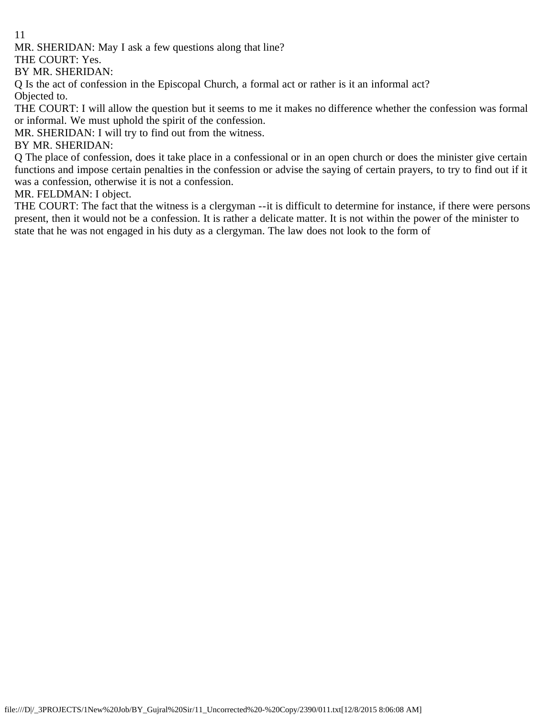MR. SHERIDAN: May I ask a few questions along that line?

THE COURT: Yes.

BY MR. SHERIDAN:

Q Is the act of confession in the Episcopal Church, a formal act or rather is it an informal act?

Objected to.

THE COURT: I will allow the question but it seems to me it makes no difference whether the confession was formal or informal. We must uphold the spirit of the confession.

MR. SHERIDAN: I will try to find out from the witness.

BY MR. SHERIDAN:

Q The place of confession, does it take place in a confessional or in an open church or does the minister give certain functions and impose certain penalties in the confession or advise the saying of certain prayers, to try to find out if it was a confession, otherwise it is not a confession.

MR. FELDMAN: I object.

THE COURT: The fact that the witness is a clergyman --it is difficult to determine for instance, if there were persons present, then it would not be a confession. It is rather a delicate matter. It is not within the power of the minister to state that he was not engaged in his duty as a clergyman. The law does not look to the form of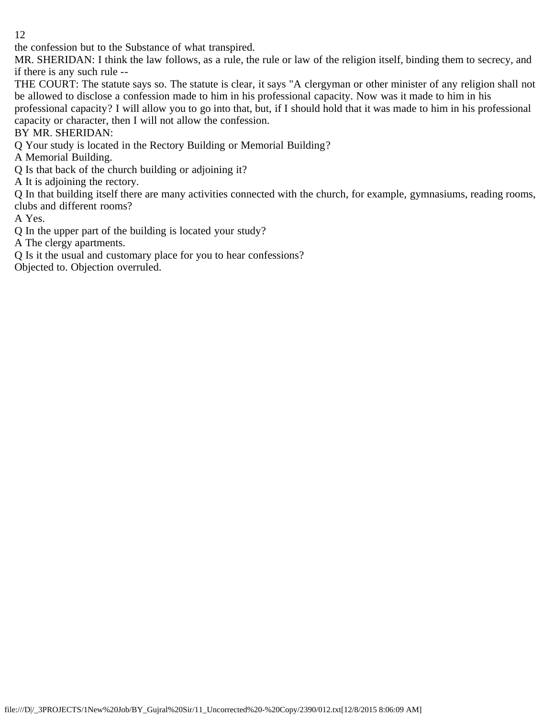the confession but to the Substance of what transpired.

MR. SHERIDAN: I think the law follows, as a rule, the rule or law of the religion itself, binding them to secrecy, and if there is any such rule --

THE COURT: The statute says so. The statute is clear, it says "A clergyman or other minister of any religion shall not be allowed to disclose a confession made to him in his professional capacity. Now was it made to him in his

professional capacity? I will allow you to go into that, but, if I should hold that it was made to him in his professional capacity or character, then I will not allow the confession.

BY MR. SHERIDAN:

Q Your study is located in the Rectory Building or Memorial Building?

A Memorial Building.

Q Is that back of the church building or adjoining it?

A It is adjoining the rectory.

Q In that building itself there are many activities connected with the church, for example, gymnasiums, reading rooms, clubs and different rooms?

A Yes.

Q In the upper part of the building is located your study?

A The clergy apartments.

Q Is it the usual and customary place for you to hear confessions?

Objected to. Objection overruled.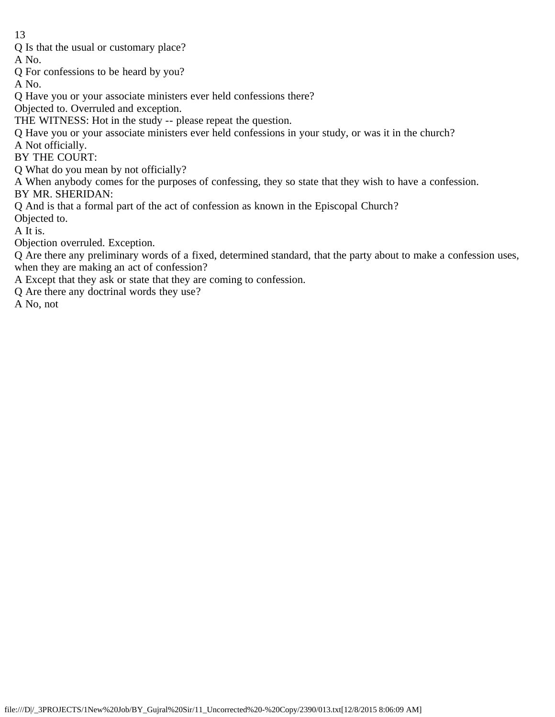Q Is that the usual or customary place?

A No.

Q For confessions to be heard by you?

A No.

Q Have you or your associate ministers ever held confessions there?

Objected to. Overruled and exception.

THE WITNESS: Hot in the study -- please repeat the question.

Q Have you or your associate ministers ever held confessions in your study, or was it in the church?

A Not officially.

BY THE COURT:

Q What do you mean by not officially?

A When anybody comes for the purposes of confessing, they so state that they wish to have a confession.

BY MR. SHERIDAN:

Q And is that a formal part of the act of confession as known in the Episcopal Church?

Objected to.

A It is.

Objection overruled. Exception.

Q Are there any preliminary words of a fixed, determined standard, that the party about to make a confession uses, when they are making an act of confession?

A Except that they ask or state that they are coming to confession.

Q Are there any doctrinal words they use?

A No, not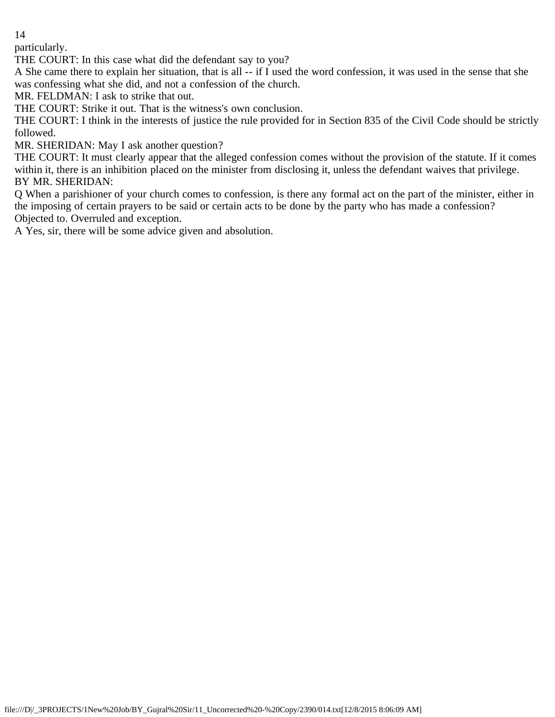particularly.

THE COURT: In this case what did the defendant say to you?

A She came there to explain her situation, that is all -- if I used the word confession, it was used in the sense that she was confessing what she did, and not a confession of the church.

MR. FELDMAN: I ask to strike that out.

THE COURT: Strike it out. That is the witness's own conclusion.

THE COURT: I think in the interests of justice the rule provided for in Section 835 of the Civil Code should be strictly followed.

MR. SHERIDAN: May I ask another question?

THE COURT: It must clearly appear that the alleged confession comes without the provision of the statute. If it comes within it, there is an inhibition placed on the minister from disclosing it, unless the defendant waives that privilege. BY MR. SHERIDAN:

Q When a parishioner of your church comes to confession, is there any formal act on the part of the minister, either in the imposing of certain prayers to be said or certain acts to be done by the party who has made a confession? Objected to. Overruled and exception.

A Yes, sir, there will be some advice given and absolution.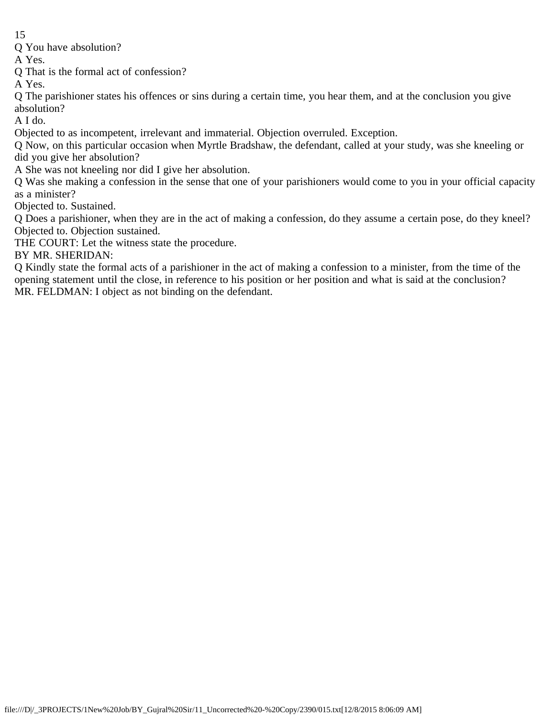Q You have absolution?

A Yes.

Q That is the formal act of confession?

A Yes.

Q The parishioner states his offences or sins during a certain time, you hear them, and at the conclusion you give absolution?

A I do.

Objected to as incompetent, irrelevant and immaterial. Objection overruled. Exception.

Q Now, on this particular occasion when Myrtle Bradshaw, the defendant, called at your study, was she kneeling or did you give her absolution?

A She was not kneeling nor did I give her absolution.

Q Was she making a confession in the sense that one of your parishioners would come to you in your official capacity as a minister?

Objected to. Sustained.

Q Does a parishioner, when they are in the act of making a confession, do they assume a certain pose, do they kneel? Objected to. Objection sustained.

THE COURT: Let the witness state the procedure.

BY MR. SHERIDAN:

Q Kindly state the formal acts of a parishioner in the act of making a confession to a minister, from the time of the opening statement until the close, in reference to his position or her position and what is said at the conclusion? MR. FELDMAN: I object as not binding on the defendant.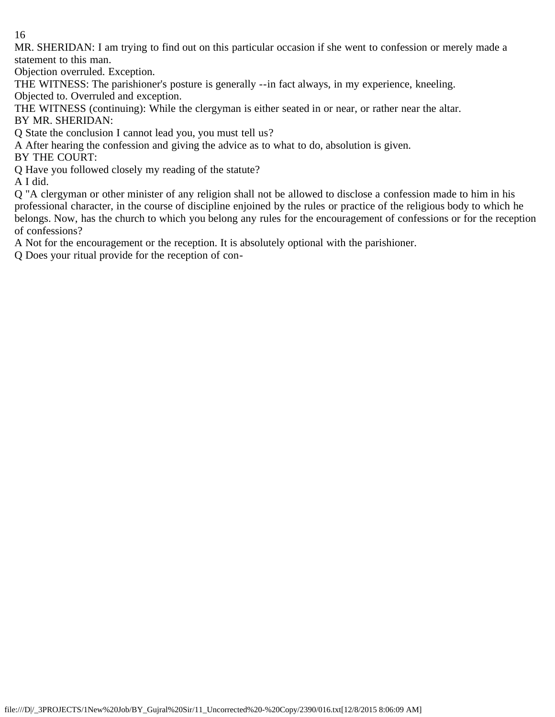MR. SHERIDAN: I am trying to find out on this particular occasion if she went to confession or merely made a statement to this man.

Objection overruled. Exception.

THE WITNESS: The parishioner's posture is generally --in fact always, in my experience, kneeling. Objected to. Overruled and exception.

THE WITNESS (continuing): While the clergyman is either seated in or near, or rather near the altar. BY MR. SHERIDAN:

Q State the conclusion I cannot lead you, you must tell us?

A After hearing the confession and giving the advice as to what to do, absolution is given.

BY THE COURT:

Q Have you followed closely my reading of the statute?

A I did.

Q "A clergyman or other minister of any religion shall not be allowed to disclose a confession made to him in his professional character, in the course of discipline enjoined by the rules or practice of the religious body to which he belongs. Now, has the church to which you belong any rules for the encouragement of confessions or for the reception of confessions?

A Not for the encouragement or the reception. It is absolutely optional with the parishioner.

Q Does your ritual provide for the reception of con-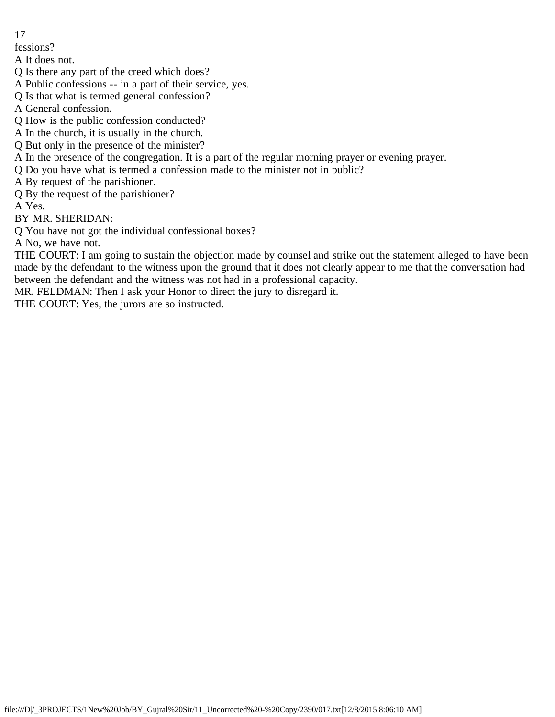fessions?

A It does not.

Q Is there any part of the creed which does?

A Public confessions -- in a part of their service, yes.

Q Is that what is termed general confession?

A General confession.

Q How is the public confession conducted?

A In the church, it is usually in the church.

- Q But only in the presence of the minister?
- A In the presence of the congregation. It is a part of the regular morning prayer or evening prayer.
- Q Do you have what is termed a confession made to the minister not in public?

A By request of the parishioner.

Q By the request of the parishioner?

A Yes.

BY MR. SHERIDAN:

Q You have not got the individual confessional boxes?

A No, we have not.

THE COURT: I am going to sustain the objection made by counsel and strike out the statement alleged to have been made by the defendant to the witness upon the ground that it does not clearly appear to me that the conversation had between the defendant and the witness was not had in a professional capacity.

MR. FELDMAN: Then I ask your Honor to direct the jury to disregard it.

THE COURT: Yes, the jurors are so instructed.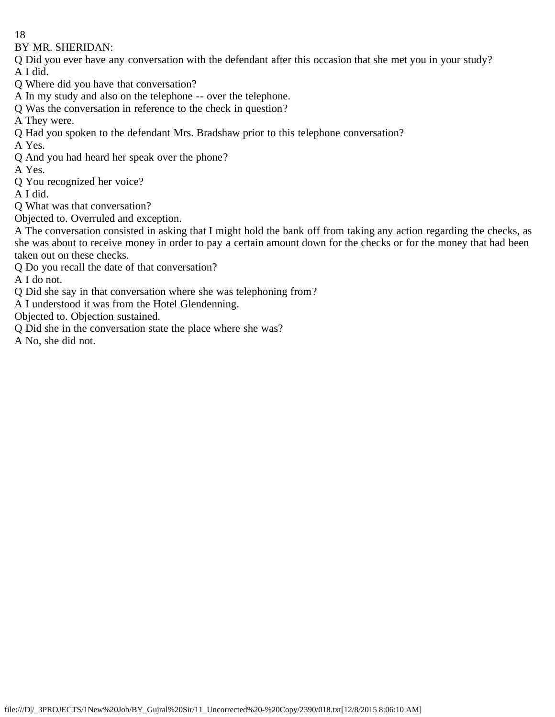BY MR. SHERIDAN:

Q Did you ever have any conversation with the defendant after this occasion that she met you in your study? A I did.

Q Where did you have that conversation?

A In my study and also on the telephone -- over the telephone.

Q Was the conversation in reference to the check in question?

A They were.

Q Had you spoken to the defendant Mrs. Bradshaw prior to this telephone conversation?

A Yes.

Q And you had heard her speak over the phone?

A Yes.

Q You recognized her voice?

A I did.

Q What was that conversation?

Objected to. Overruled and exception.

A The conversation consisted in asking that I might hold the bank off from taking any action regarding the checks, as she was about to receive money in order to pay a certain amount down for the checks or for the money that had been taken out on these checks.

Q Do you recall the date of that conversation?

A I do not.

Q Did she say in that conversation where she was telephoning from?

A I understood it was from the Hotel Glendenning.

Objected to. Objection sustained.

Q Did she in the conversation state the place where she was?

A No, she did not.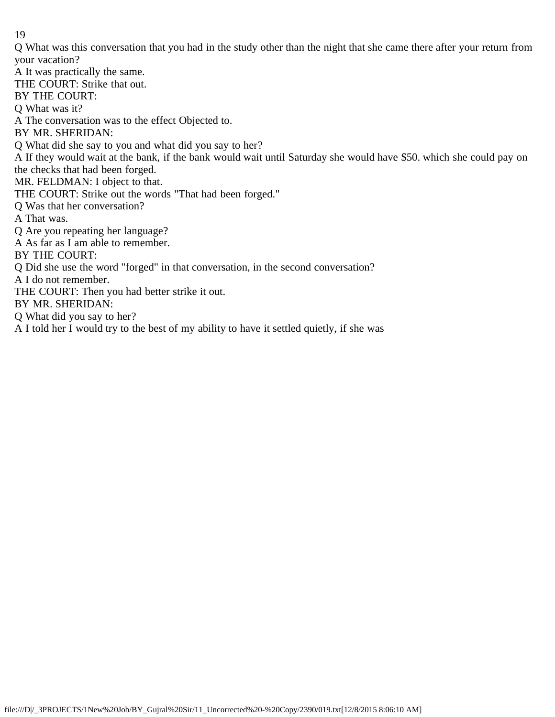Q What was this conversation that you had in the study other than the night that she came there after your return from your vacation?

A It was practically the same. THE COURT: Strike that out. BY THE COURT: Q What was it? A The conversation was to the effect Objected to. BY MR. SHERIDAN: Q What did she say to you and what did you say to her? A If they would wait at the bank, if the bank would wait until Saturday she would have \$50. which she could pay on the checks that had been forged. MR. FELDMAN: I object to that. THE COURT: Strike out the words "That had been forged." Q Was that her conversation? A That was. Q Are you repeating her language? A As far as I am able to remember. BY THE COURT: Q Did she use the word "forged" in that conversation, in the second conversation? A I do not remember. THE COURT: Then you had better strike it out. BY MR. SHERIDAN: Q What did you say to her?

A I told her I would try to the best of my ability to have it settled quietly, if she was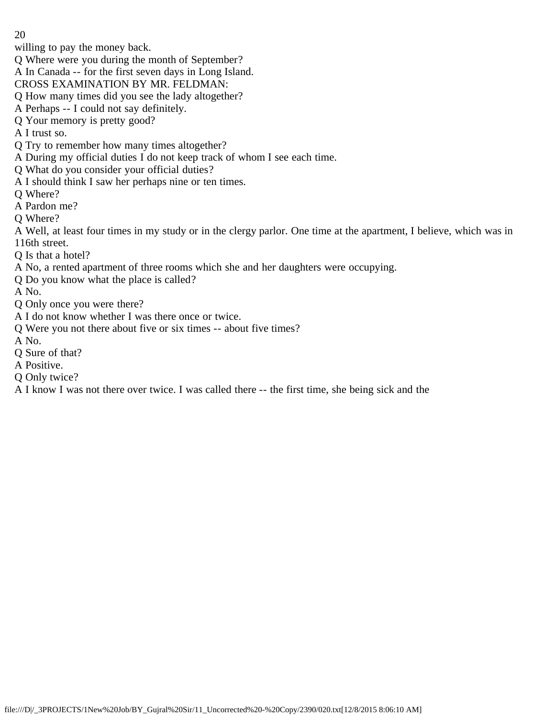willing to pay the money back.

Q Where were you during the month of September?

A In Canada -- for the first seven days in Long Island.

CROSS EXAMINATION BY MR. FELDMAN:

- Q How many times did you see the lady altogether?
- A Perhaps -- I could not say definitely.
- Q Your memory is pretty good?
- A I trust so.
- Q Try to remember how many times altogether?
- A During my official duties I do not keep track of whom I see each time.
- Q What do you consider your official duties?
- A I should think I saw her perhaps nine or ten times.
- Q Where?
- A Pardon me?
- Q Where?
- A Well, at least four times in my study or in the clergy parlor. One time at the apartment, I believe, which was in 116th street.
- Q Is that a hotel?
- A No, a rented apartment of three rooms which she and her daughters were occupying.
- Q Do you know what the place is called?
- A No.
- Q Only once you were there?
- A I do not know whether I was there once or twice.
- Q Were you not there about five or six times -- about five times?
- A No.
- Q Sure of that?
- A Positive.
- Q Only twice?
- A I know I was not there over twice. I was called there -- the first time, she being sick and the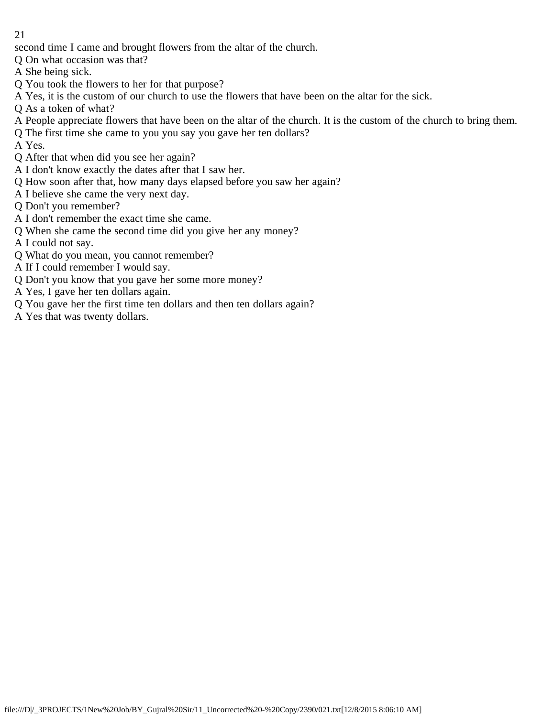second time I came and brought flowers from the altar of the church.

- Q On what occasion was that?
- A She being sick.
- Q You took the flowers to her for that purpose?
- A Yes, it is the custom of our church to use the flowers that have been on the altar for the sick.
- Q As a token of what?
- A People appreciate flowers that have been on the altar of the church. It is the custom of the church to bring them.
- Q The first time she came to you you say you gave her ten dollars?
- A Yes.
- Q After that when did you see her again?
- A I don't know exactly the dates after that I saw her.
- Q How soon after that, how many days elapsed before you saw her again?
- A I believe she came the very next day.
- Q Don't you remember?
- A I don't remember the exact time she came.
- Q When she came the second time did you give her any money?
- A I could not say.
- Q What do you mean, you cannot remember?
- A If I could remember I would say.
- Q Don't you know that you gave her some more money?
- A Yes, I gave her ten dollars again.
- Q You gave her the first time ten dollars and then ten dollars again?
- A Yes that was twenty dollars.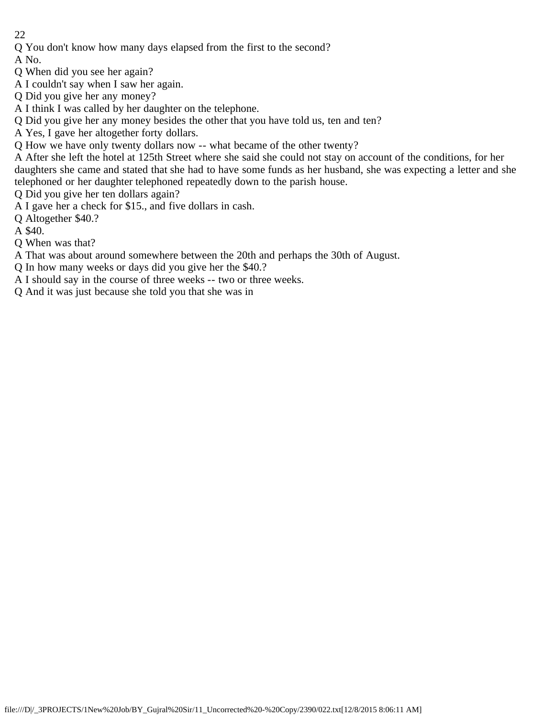Q You don't know how many days elapsed from the first to the second?

A No.

Q When did you see her again?

A I couldn't say when I saw her again.

Q Did you give her any money?

A I think I was called by her daughter on the telephone.

Q Did you give her any money besides the other that you have told us, ten and ten?

A Yes, I gave her altogether forty dollars.

Q How we have only twenty dollars now -- what became of the other twenty?

A After she left the hotel at 125th Street where she said she could not stay on account of the conditions, for her daughters she came and stated that she had to have some funds as her husband, she was expecting a letter and she telephoned or her daughter telephoned repeatedly down to the parish house.

Q Did you give her ten dollars again?

A I gave her a check for \$15., and five dollars in cash.

Q Altogether \$40.?

A \$40.

Q When was that?

A That was about around somewhere between the 20th and perhaps the 30th of August.

Q In how many weeks or days did you give her the \$40.?

A I should say in the course of three weeks -- two or three weeks.

Q And it was just because she told you that she was in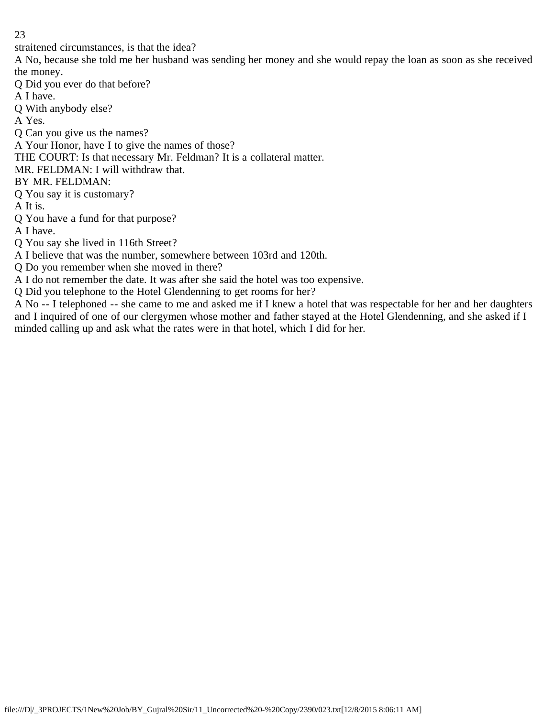straitened circumstances, is that the idea?

A No, because she told me her husband was sending her money and she would repay the loan as soon as she received the money.

Q Did you ever do that before?

A I have.

Q With anybody else?

A Yes.

Q Can you give us the names?

A Your Honor, have I to give the names of those?

THE COURT: Is that necessary Mr. Feldman? It is a collateral matter.

MR. FELDMAN: I will withdraw that.

BY MR. FELDMAN:

Q You say it is customary?

A It is.

Q You have a fund for that purpose?

A I have.

Q You say she lived in 116th Street?

A I believe that was the number, somewhere between 103rd and 120th.

Q Do you remember when she moved in there?

A I do not remember the date. It was after she said the hotel was too expensive.

Q Did you telephone to the Hotel Glendenning to get rooms for her?

A No -- I telephoned -- she came to me and asked me if I knew a hotel that was respectable for her and her daughters and I inquired of one of our clergymen whose mother and father stayed at the Hotel Glendenning, and she asked if I minded calling up and ask what the rates were in that hotel, which I did for her.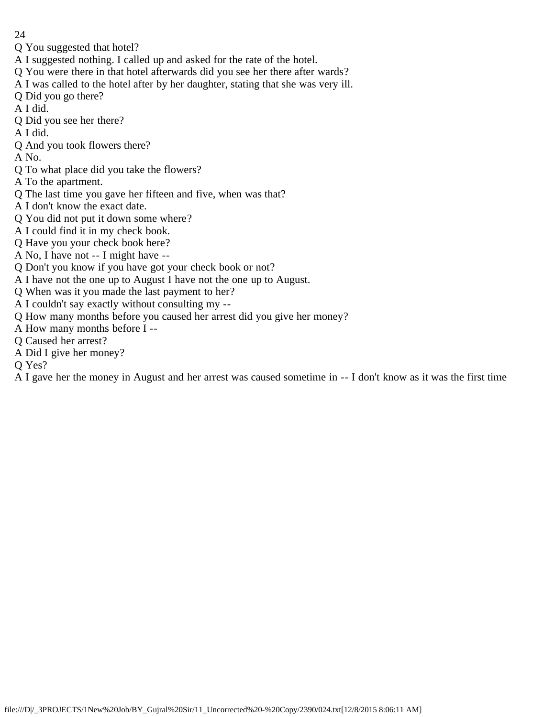- 24
- Q You suggested that hotel?
- A I suggested nothing. I called up and asked for the rate of the hotel.
- Q You were there in that hotel afterwards did you see her there after wards?
- A I was called to the hotel after by her daughter, stating that she was very ill.
- Q Did you go there?
- A I did.
- Q Did you see her there?
- A I did.
- Q And you took flowers there?
- A No.
- Q To what place did you take the flowers?
- A To the apartment.
- Q The last time you gave her fifteen and five, when was that?
- A I don't know the exact date.
- Q You did not put it down some where?
- A I could find it in my check book.
- Q Have you your check book here?
- A No, I have not -- I might have --
- Q Don't you know if you have got your check book or not?
- A I have not the one up to August I have not the one up to August.
- Q When was it you made the last payment to her?
- A I couldn't say exactly without consulting my --
- Q How many months before you caused her arrest did you give her money?
- A How many months before I --
- Q Caused her arrest?
- A Did I give her money?
- Q Yes?
- A I gave her the money in August and her arrest was caused sometime in -- I don't know as it was the first time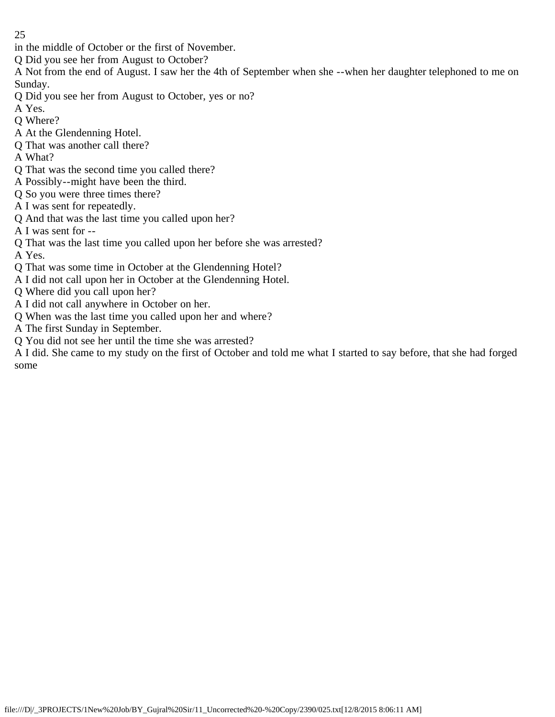in the middle of October or the first of November.

Q Did you see her from August to October?

A Not from the end of August. I saw her the 4th of September when she --when her daughter telephoned to me on Sunday.

Q Did you see her from August to October, yes or no?

A Yes.

- Q Where?
- A At the Glendenning Hotel.
- Q That was another call there?
- A What?
- Q That was the second time you called there?
- A Possibly--might have been the third.
- Q So you were three times there?
- A I was sent for repeatedly.
- Q And that was the last time you called upon her?
- A I was sent for --
- Q That was the last time you called upon her before she was arrested?

A Yes.

- Q That was some time in October at the Glendenning Hotel?
- A I did not call upon her in October at the Glendenning Hotel.
- Q Where did you call upon her?
- A I did not call anywhere in October on her.
- Q When was the last time you called upon her and where?
- A The first Sunday in September.
- Q You did not see her until the time she was arrested?

A I did. She came to my study on the first of October and told me what I started to say before, that she had forged some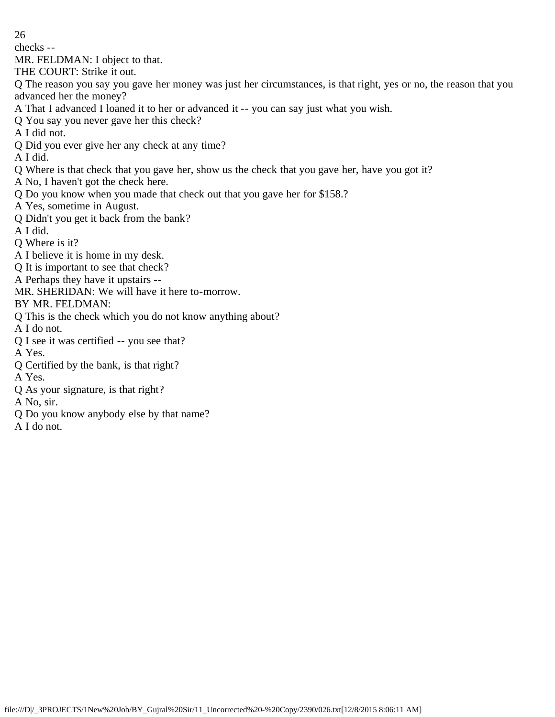checks --

MR. FELDMAN: I object to that.

THE COURT: Strike it out.

Q The reason you say you gave her money was just her circumstances, is that right, yes or no, the reason that you advanced her the money?

- A That I advanced I loaned it to her or advanced it -- you can say just what you wish.
- Q You say you never gave her this check?
- A I did not.
- Q Did you ever give her any check at any time?
- A I did.
- Q Where is that check that you gave her, show us the check that you gave her, have you got it?
- A No, I haven't got the check here.
- Q Do you know when you made that check out that you gave her for \$158.?
- A Yes, sometime in August.
- Q Didn't you get it back from the bank?
- A I did.
- Q Where is it?
- A I believe it is home in my desk.
- Q It is important to see that check?
- A Perhaps they have it upstairs --
- MR. SHERIDAN: We will have it here to-morrow.
- BY MR. FELDMAN:
- Q This is the check which you do not know anything about?
- A I do not.
- Q I see it was certified -- you see that?
- A Yes.
- Q Certified by the bank, is that right?
- A Yes.
- Q As your signature, is that right?
- A No, sir.
- Q Do you know anybody else by that name?
- A I do not.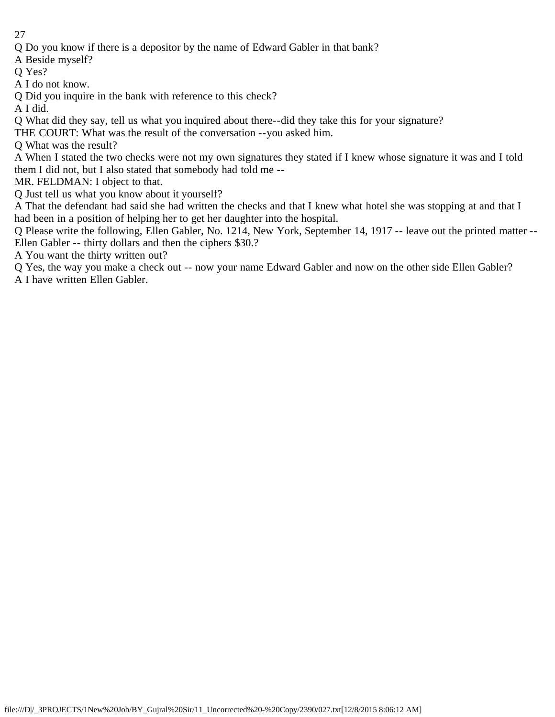Q Do you know if there is a depositor by the name of Edward Gabler in that bank?

A Beside myself?

O Yes?

A I do not know.

Q Did you inquire in the bank with reference to this check?

A I did.

Q What did they say, tell us what you inquired about there--did they take this for your signature?

THE COURT: What was the result of the conversation --you asked him.

Q What was the result?

A When I stated the two checks were not my own signatures they stated if I knew whose signature it was and I told them I did not, but I also stated that somebody had told me --

MR. FELDMAN: I object to that.

Q Just tell us what you know about it yourself?

A That the defendant had said she had written the checks and that I knew what hotel she was stopping at and that I had been in a position of helping her to get her daughter into the hospital.

Q Please write the following, Ellen Gabler, No. 1214, New York, September 14, 1917 -- leave out the printed matter -- Ellen Gabler -- thirty dollars and then the ciphers \$30.?

A You want the thirty written out?

Q Yes, the way you make a check out -- now your name Edward Gabler and now on the other side Ellen Gabler? A I have written Ellen Gabler.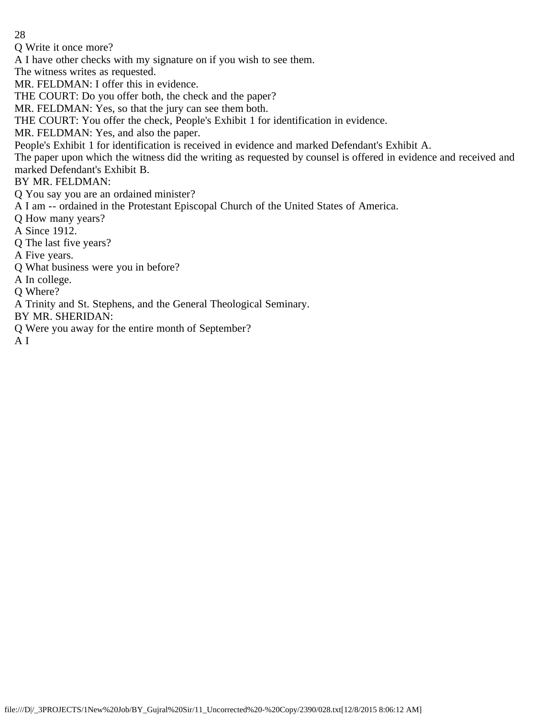Q Write it once more?

A I have other checks with my signature on if you wish to see them.

The witness writes as requested.

MR. FELDMAN: I offer this in evidence.

THE COURT: Do you offer both, the check and the paper?

MR. FELDMAN: Yes, so that the jury can see them both.

THE COURT: You offer the check, People's Exhibit 1 for identification in evidence.

MR. FELDMAN: Yes, and also the paper.

People's Exhibit 1 for identification is received in evidence and marked Defendant's Exhibit A.

The paper upon which the witness did the writing as requested by counsel is offered in evidence and received and marked Defendant's Exhibit B.

BY MR. FELDMAN:

Q You say you are an ordained minister?

A I am -- ordained in the Protestant Episcopal Church of the United States of America.

Q How many years?

A Since 1912.

Q The last five years?

A Five years.

Q What business were you in before?

A In college.

Q Where?

A Trinity and St. Stephens, and the General Theological Seminary.

BY MR. SHERIDAN:

Q Were you away for the entire month of September?

A I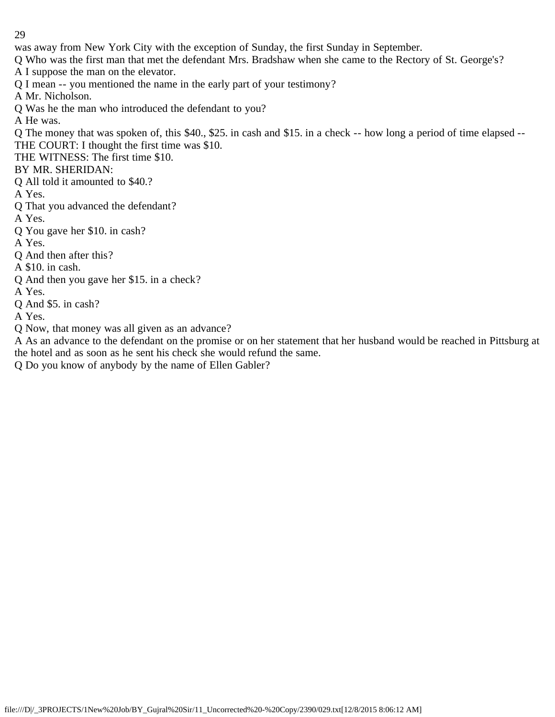was away from New York City with the exception of Sunday, the first Sunday in September.

Q Who was the first man that met the defendant Mrs. Bradshaw when she came to the Rectory of St. George's?

A I suppose the man on the elevator.

Q I mean -- you mentioned the name in the early part of your testimony?

A Mr. Nicholson.

Q Was he the man who introduced the defendant to you?

A He was.

Q The money that was spoken of, this \$40., \$25. in cash and \$15. in a check -- how long a period of time elapsed -- THE COURT: I thought the first time was \$10.

THE WITNESS: The first time \$10.

BY MR. SHERIDAN:

Q All told it amounted to \$40.?

A Yes.

Q That you advanced the defendant?

A Yes.

Q You gave her \$10. in cash?

A Yes.

Q And then after this?

A \$10. in cash.

Q And then you gave her \$15. in a check?

A Yes.

Q And \$5. in cash?

A Yes.

Q Now, that money was all given as an advance?

A As an advance to the defendant on the promise or on her statement that her husband would be reached in Pittsburg at the hotel and as soon as he sent his check she would refund the same.

Q Do you know of anybody by the name of Ellen Gabler?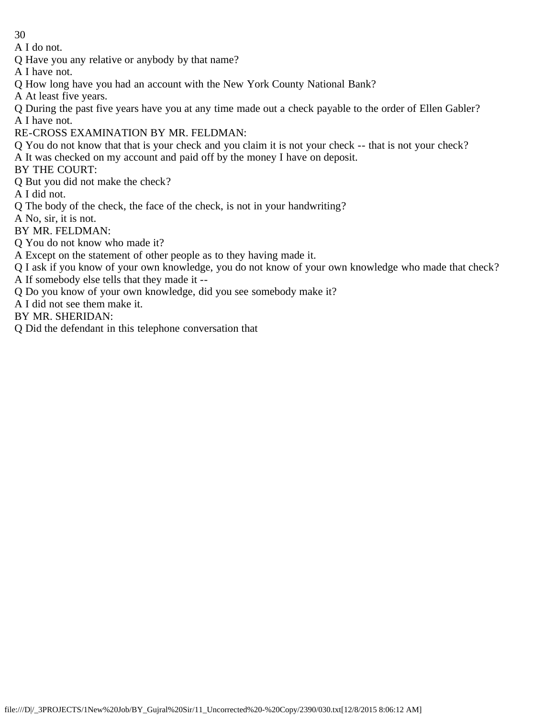A I do not.

Q Have you any relative or anybody by that name?

A I have not.

Q How long have you had an account with the New York County National Bank?

A At least five years.

Q During the past five years have you at any time made out a check payable to the order of Ellen Gabler? A I have not.

RE-CROSS EXAMINATION BY MR. FELDMAN:

Q You do not know that that is your check and you claim it is not your check -- that is not your check?

A It was checked on my account and paid off by the money I have on deposit.

BY THE COURT:

Q But you did not make the check?

A I did not.

Q The body of the check, the face of the check, is not in your handwriting?

A No, sir, it is not.

BY MR. FELDMAN:

Q You do not know who made it?

A Except on the statement of other people as to they having made it.

Q I ask if you know of your own knowledge, you do not know of your own knowledge who made that check?

A If somebody else tells that they made it --

Q Do you know of your own knowledge, did you see somebody make it?

A I did not see them make it.

BY MR. SHERIDAN:

Q Did the defendant in this telephone conversation that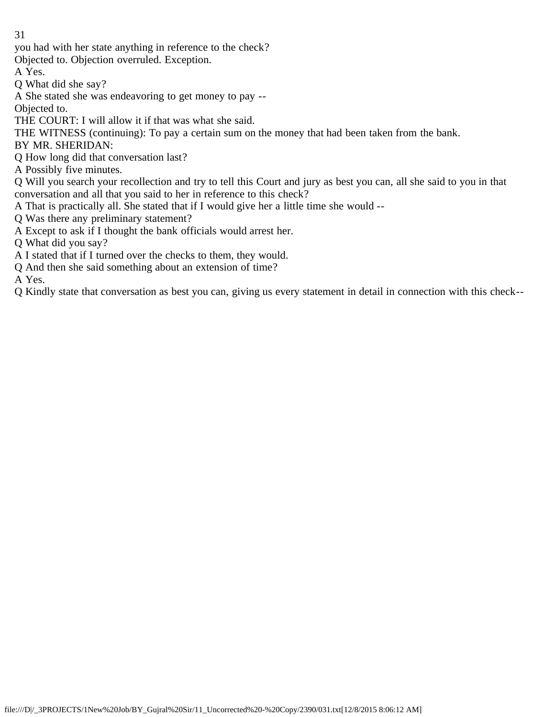you had with her state anything in reference to the check?

Objected to. Objection overruled. Exception.

A Yes.

Q What did she say?

A She stated she was endeavoring to get money to pay --

Objected to.

THE COURT: I will allow it if that was what she said.

THE WITNESS (continuing): To pay a certain sum on the money that had been taken from the bank.

BY MR. SHERIDAN:

Q How long did that conversation last?

A Possibly five minutes.

Q Will you search your recollection and try to tell this Court and jury as best you can, all she said to you in that conversation and all that you said to her in reference to this check?

A That is practically all. She stated that if I would give her a little time she would --

Q Was there any preliminary statement?

A Except to ask if I thought the bank officials would arrest her.

Q What did you say?

A I stated that if I turned over the checks to them, they would.

Q And then she said something about an extension of time?

A Yes.

Q Kindly state that conversation as best you can, giving us every statement in detail in connection with this check--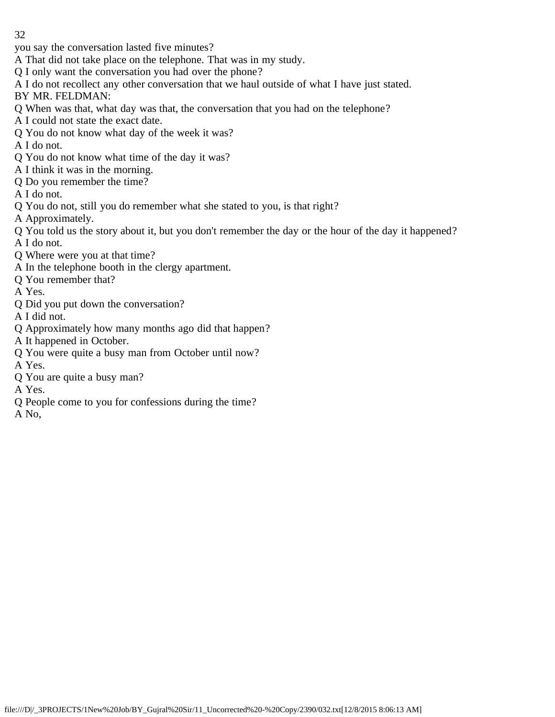- you say the conversation lasted five minutes?
- A That did not take place on the telephone. That was in my study.
- Q I only want the conversation you had over the phone?
- A I do not recollect any other conversation that we haul outside of what I have just stated.
- BY MR. FELDMAN:
- Q When was that, what day was that, the conversation that you had on the telephone?
- A I could not state the exact date.
- Q You do not know what day of the week it was?
- A I do not.
- Q You do not know what time of the day it was?
- A I think it was in the morning.
- Q Do you remember the time?
- A I do not.
- Q You do not, still you do remember what she stated to you, is that right?
- A Approximately.
- Q You told us the story about it, but you don't remember the day or the hour of the day it happened? A I do not.
- Q Where were you at that time?
- A In the telephone booth in the clergy apartment.
- Q You remember that?
- A Yes.
- Q Did you put down the conversation?
- A I did not.
- Q Approximately how many months ago did that happen?
- A It happened in October.
- Q You were quite a busy man from October until now?
- A Yes.
- Q You are quite a busy man?
- A Yes.
- Q People come to you for confessions during the time?
- A No,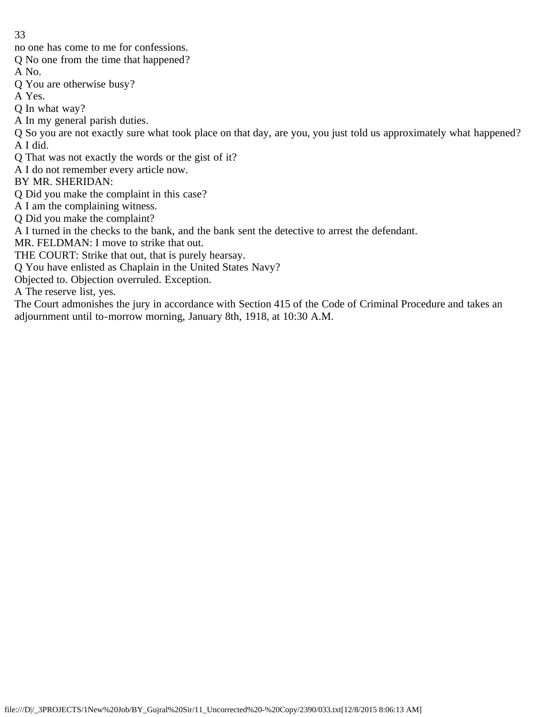no one has come to me for confessions.

Q No one from the time that happened?

A No.

Q You are otherwise busy?

A Yes.

Q In what way?

A In my general parish duties.

Q So you are not exactly sure what took place on that day, are you, you just told us approximately what happened? A I did.

Q That was not exactly the words or the gist of it?

A I do not remember every article now.

BY MR. SHERIDAN:

Q Did you make the complaint in this case?

A I am the complaining witness.

Q Did you make the complaint?

A I turned in the checks to the bank, and the bank sent the detective to arrest the defendant.

MR. FELDMAN: I move to strike that out.

THE COURT: Strike that out, that is purely hearsay.

Q You have enlisted as Chaplain in the United States Navy?

Objected to. Objection overruled. Exception.

A The reserve list, yes.

The Court admonishes the jury in accordance with Section 415 of the Code of Criminal Procedure and takes an adjournment until to-morrow morning, January 8th, 1918, at 10:30 A.M.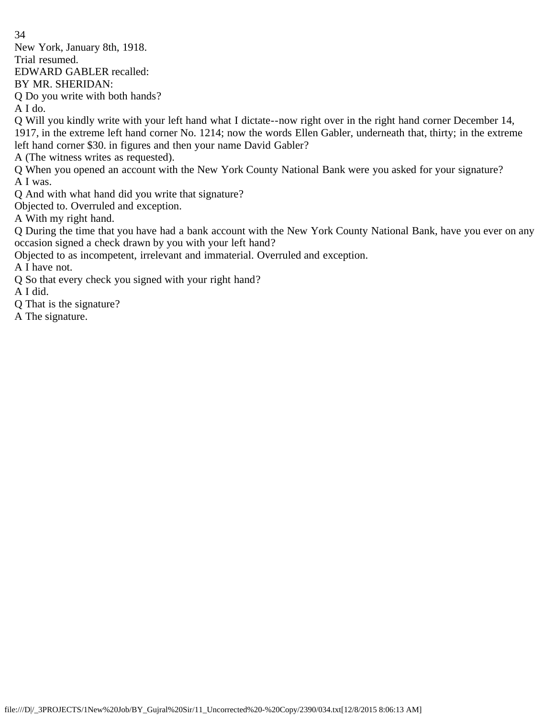New York, January 8th, 1918. Trial resumed.

EDWARD GABLER recalled:

BY MR. SHERIDAN:

Q Do you write with both hands?

A I do.

Q Will you kindly write with your left hand what I dictate--now right over in the right hand corner December 14, 1917, in the extreme left hand corner No. 1214; now the words Ellen Gabler, underneath that, thirty; in the extreme left hand corner \$30. in figures and then your name David Gabler?

A (The witness writes as requested).

Q When you opened an account with the New York County National Bank were you asked for your signature? A I was.

Q And with what hand did you write that signature?

Objected to. Overruled and exception.

A With my right hand.

Q During the time that you have had a bank account with the New York County National Bank, have you ever on any occasion signed a check drawn by you with your left hand?

Objected to as incompetent, irrelevant and immaterial. Overruled and exception.

A I have not.

Q So that every check you signed with your right hand?

A I did.

Q That is the signature?

A The signature.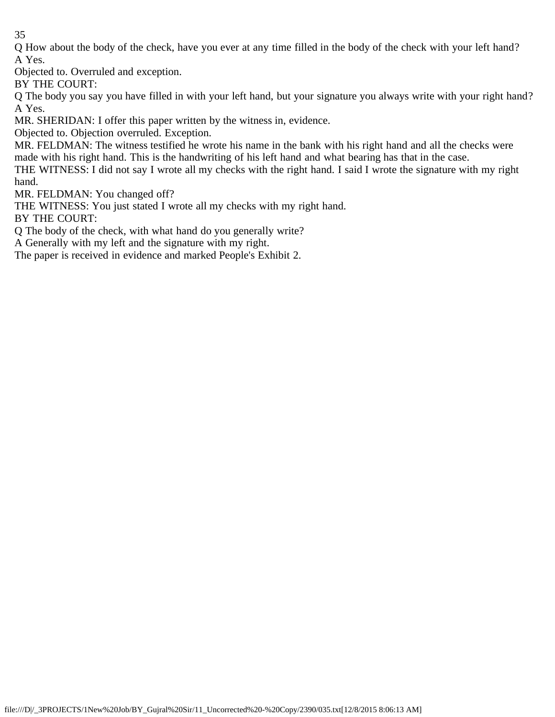Q How about the body of the check, have you ever at any time filled in the body of the check with your left hand? A Yes.

Objected to. Overruled and exception.

BY THE COURT:

Q The body you say you have filled in with your left hand, but your signature you always write with your right hand? A Yes.

MR. SHERIDAN: I offer this paper written by the witness in, evidence.

Objected to. Objection overruled. Exception.

MR. FELDMAN: The witness testified he wrote his name in the bank with his right hand and all the checks were made with his right hand. This is the handwriting of his left hand and what bearing has that in the case.

THE WITNESS: I did not say I wrote all my checks with the right hand. I said I wrote the signature with my right hand.

MR. FELDMAN: You changed off?

THE WITNESS: You just stated I wrote all my checks with my right hand.

BY THE COURT:

Q The body of the check, with what hand do you generally write?

A Generally with my left and the signature with my right.

The paper is received in evidence and marked People's Exhibit 2.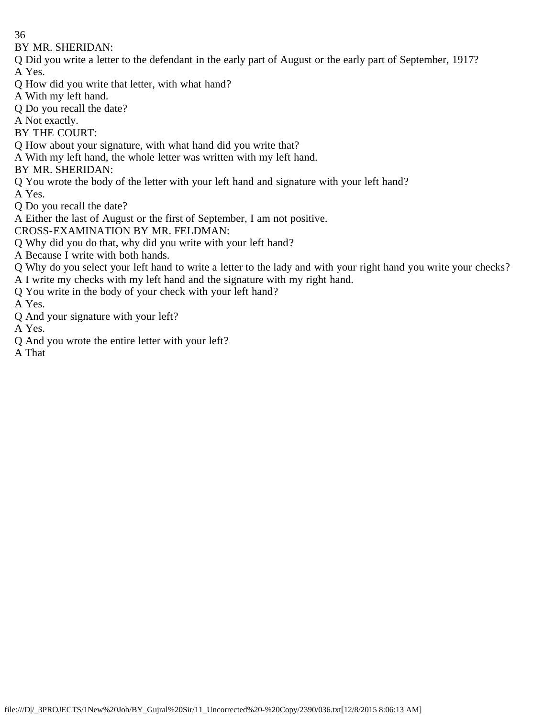BY MR. SHERIDAN:

- Q Did you write a letter to the defendant in the early part of August or the early part of September, 1917? A Yes.
- Q How did you write that letter, with what hand?
- A With my left hand.
- Q Do you recall the date?
- A Not exactly.
- BY THE COURT:
- Q How about your signature, with what hand did you write that?
- A With my left hand, the whole letter was written with my left hand.
- BY MR. SHERIDAN:
- Q You wrote the body of the letter with your left hand and signature with your left hand?
- A Yes.
- Q Do you recall the date?
- A Either the last of August or the first of September, I am not positive.
- CROSS-EXAMINATION BY MR. FELDMAN:
- Q Why did you do that, why did you write with your left hand?
- A Because I write with both hands.
- Q Why do you select your left hand to write a letter to the lady and with your right hand you write your checks?
- A I write my checks with my left hand and the signature with my right hand.
- Q You write in the body of your check with your left hand?
- A Yes.
- Q And your signature with your left?
- A Yes.
- Q And you wrote the entire letter with your left?
- A That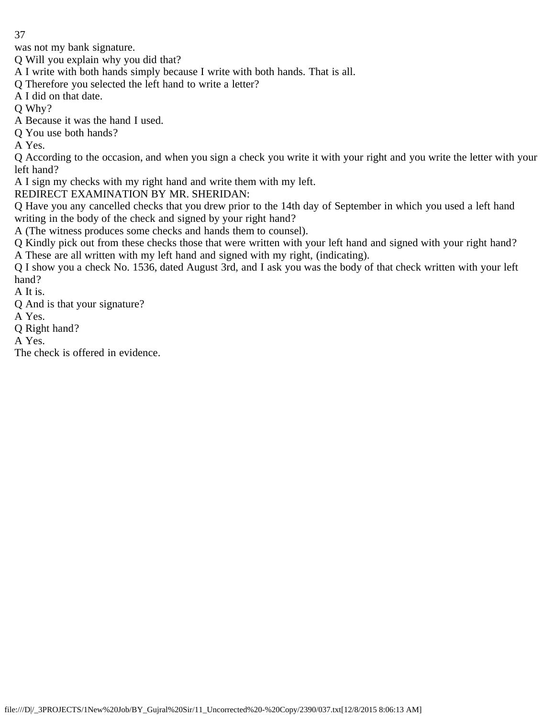was not my bank signature.

Q Will you explain why you did that?

A I write with both hands simply because I write with both hands. That is all.

Q Therefore you selected the left hand to write a letter?

A I did on that date.

Q Why?

A Because it was the hand I used.

Q You use both hands?

A Yes.

Q According to the occasion, and when you sign a check you write it with your right and you write the letter with your left hand?

A I sign my checks with my right hand and write them with my left.

REDIRECT EXAMINATION BY MR. SHERIDAN:

Q Have you any cancelled checks that you drew prior to the 14th day of September in which you used a left hand writing in the body of the check and signed by your right hand?

A (The witness produces some checks and hands them to counsel).

Q Kindly pick out from these checks those that were written with your left hand and signed with your right hand? A These are all written with my left hand and signed with my right, (indicating).

Q I show you a check No. 1536, dated August 3rd, and I ask you was the body of that check written with your left hand?

A It is.

Q And is that your signature?

A Yes.

Q Right hand?

A Yes.

The check is offered in evidence.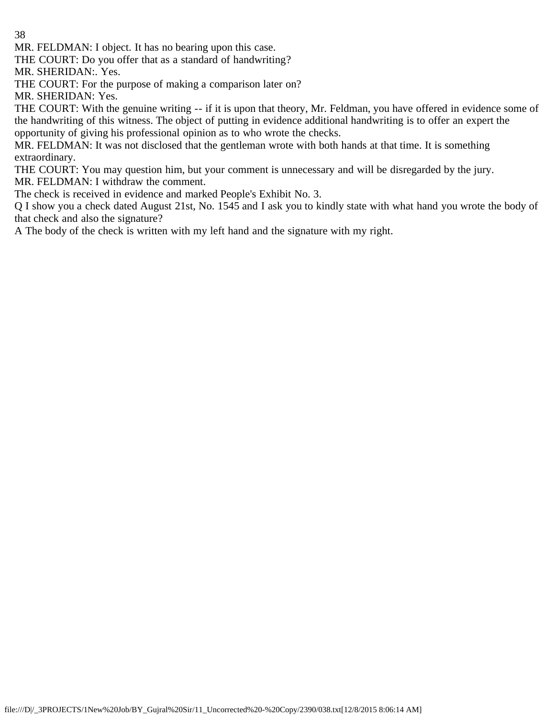MR. FELDMAN: I object. It has no bearing upon this case.

THE COURT: Do you offer that as a standard of handwriting?

MR. SHERIDAN:. Yes.

THE COURT: For the purpose of making a comparison later on?

MR. SHERIDAN: Yes.

THE COURT: With the genuine writing -- if it is upon that theory, Mr. Feldman, you have offered in evidence some of the handwriting of this witness. The object of putting in evidence additional handwriting is to offer an expert the opportunity of giving his professional opinion as to who wrote the checks.

MR. FELDMAN: It was not disclosed that the gentleman wrote with both hands at that time. It is something extraordinary.

THE COURT: You may question him, but your comment is unnecessary and will be disregarded by the jury. MR. FELDMAN: I withdraw the comment.

The check is received in evidence and marked People's Exhibit No. 3.

Q I show you a check dated August 21st, No. 1545 and I ask you to kindly state with what hand you wrote the body of that check and also the signature?

A The body of the check is written with my left hand and the signature with my right.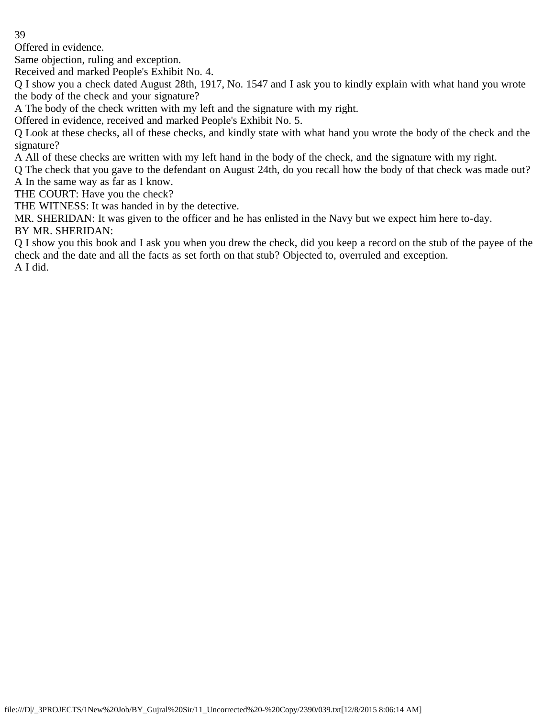Offered in evidence.

Same objection, ruling and exception.

Received and marked People's Exhibit No. 4.

Q I show you a check dated August 28th, 1917, No. 1547 and I ask you to kindly explain with what hand you wrote the body of the check and your signature?

A The body of the check written with my left and the signature with my right.

Offered in evidence, received and marked People's Exhibit No. 5.

Q Look at these checks, all of these checks, and kindly state with what hand you wrote the body of the check and the signature?

A All of these checks are written with my left hand in the body of the check, and the signature with my right.

Q The check that you gave to the defendant on August 24th, do you recall how the body of that check was made out? A In the same way as far as I know.

THE COURT: Have you the check?

THE WITNESS: It was handed in by the detective.

MR. SHERIDAN: It was given to the officer and he has enlisted in the Navy but we expect him here to-day.

BY MR. SHERIDAN:

Q I show you this book and I ask you when you drew the check, did you keep a record on the stub of the payee of the check and the date and all the facts as set forth on that stub? Objected to, overruled and exception. A I did.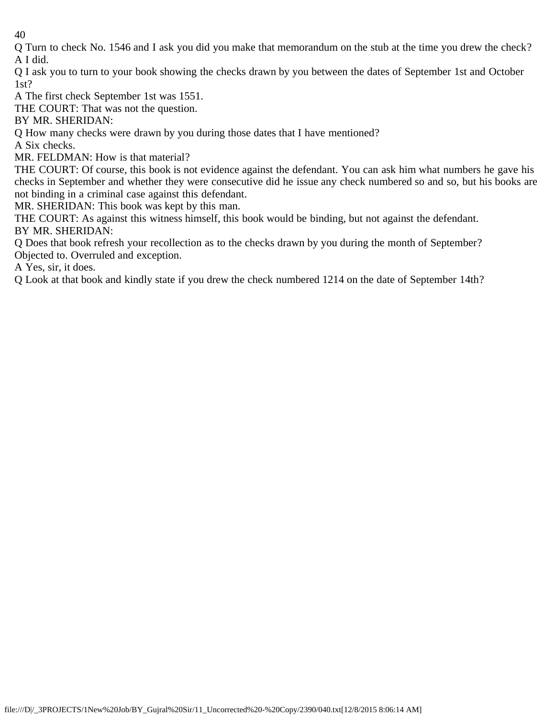Q Turn to check No. 1546 and I ask you did you make that memorandum on the stub at the time you drew the check? A I did.

Q I ask you to turn to your book showing the checks drawn by you between the dates of September 1st and October 1st?

A The first check September 1st was 1551.

THE COURT: That was not the question.

BY MR. SHERIDAN:

Q How many checks were drawn by you during those dates that I have mentioned?

A Six checks.

MR. FELDMAN: How is that material?

THE COURT: Of course, this book is not evidence against the defendant. You can ask him what numbers he gave his checks in September and whether they were consecutive did he issue any check numbered so and so, but his books are not binding in a criminal case against this defendant.

MR. SHERIDAN: This book was kept by this man.

THE COURT: As against this witness himself, this book would be binding, but not against the defendant. BY MR. SHERIDAN:

Q Does that book refresh your recollection as to the checks drawn by you during the month of September? Objected to. Overruled and exception.

A Yes, sir, it does.

Q Look at that book and kindly state if you drew the check numbered 1214 on the date of September 14th?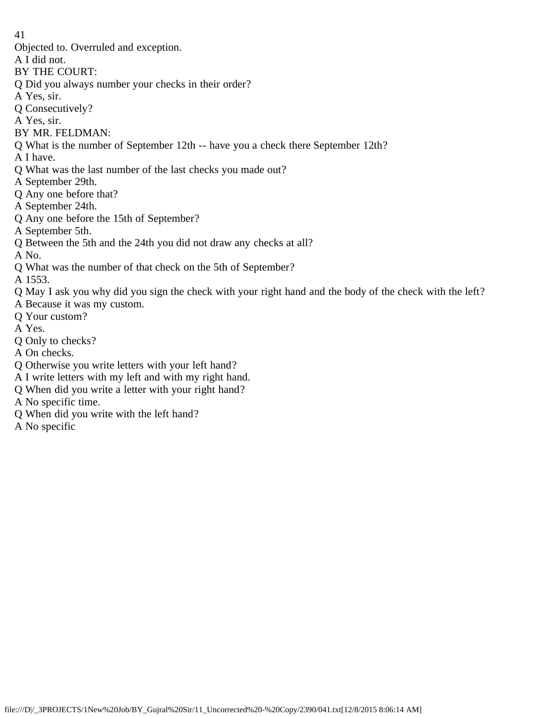- Objected to. Overruled and exception.
- A I did not.
- BY THE COURT:
- Q Did you always number your checks in their order?
- A Yes, sir.
- Q Consecutively?
- A Yes, sir.
- BY MR. FELDMAN:
- Q What is the number of September 12th -- have you a check there September 12th?
- A I have.
- Q What was the last number of the last checks you made out?
- A September 29th.
- Q Any one before that?
- A September 24th.
- Q Any one before the 15th of September?
- A September 5th.
- Q Between the 5th and the 24th you did not draw any checks at all?
- A No.
- Q What was the number of that check on the 5th of September?

A 1553.

- Q May I ask you why did you sign the check with your right hand and the body of the check with the left?
- A Because it was my custom.
- Q Your custom?
- A Yes.
- Q Only to checks?
- A On checks.
- Q Otherwise you write letters with your left hand?
- A I write letters with my left and with my right hand.
- Q When did you write a letter with your right hand?
- A No specific time.
- Q When did you write with the left hand?
- A No specific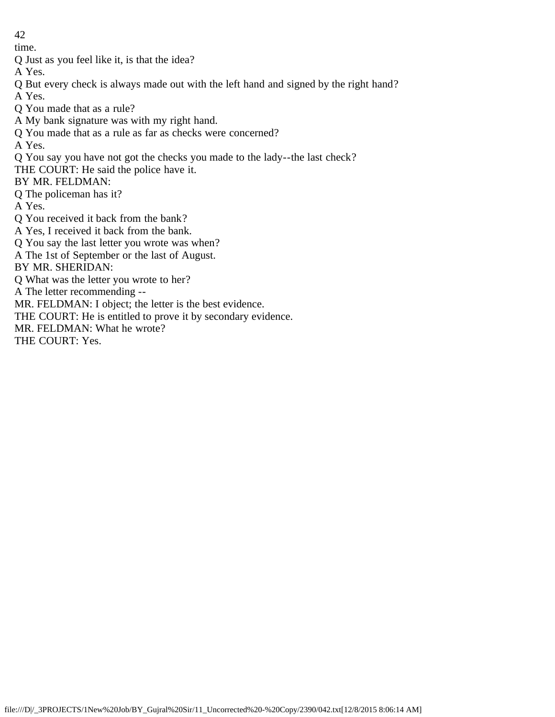time.

Q Just as you feel like it, is that the idea?

A Yes.

Q But every check is always made out with the left hand and signed by the right hand? A Yes.

Q You made that as a rule?

A My bank signature was with my right hand.

Q You made that as a rule as far as checks were concerned?

A Yes.

Q You say you have not got the checks you made to the lady--the last check?

THE COURT: He said the police have it.

BY MR. FELDMAN:

Q The policeman has it?

A Yes.

Q You received it back from the bank?

A Yes, I received it back from the bank.

Q You say the last letter you wrote was when?

A The 1st of September or the last of August.

BY MR. SHERIDAN:

Q What was the letter you wrote to her?

A The letter recommending --

MR. FELDMAN: I object; the letter is the best evidence.

THE COURT: He is entitled to prove it by secondary evidence.

MR. FELDMAN: What he wrote?

THE COURT: Yes.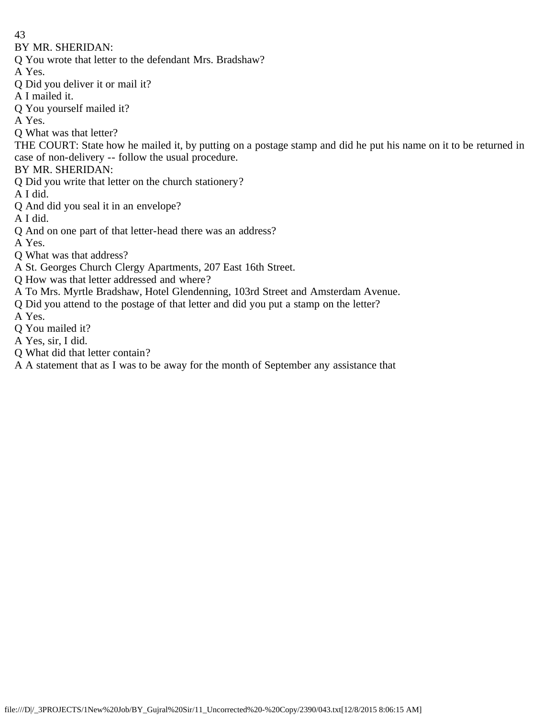BY MR. SHERIDAN:

- Q You wrote that letter to the defendant Mrs. Bradshaw?
- A Yes.
- Q Did you deliver it or mail it?
- A I mailed it.
- Q You yourself mailed it?
- A Yes.

Q What was that letter?

THE COURT: State how he mailed it, by putting on a postage stamp and did he put his name on it to be returned in case of non-delivery -- follow the usual procedure.

BY MR. SHERIDAN:

Q Did you write that letter on the church stationery?

A I did.

- Q And did you seal it in an envelope?
- A I did.
- Q And on one part of that letter-head there was an address?
- A Yes.
- Q What was that address?
- A St. Georges Church Clergy Apartments, 207 East 16th Street.
- Q How was that letter addressed and where?
- A To Mrs. Myrtle Bradshaw, Hotel Glendenning, 103rd Street and Amsterdam Avenue.
- Q Did you attend to the postage of that letter and did you put a stamp on the letter?

A Yes.

- Q You mailed it?
- A Yes, sir, I did.
- Q What did that letter contain?
- A A statement that as I was to be away for the month of September any assistance that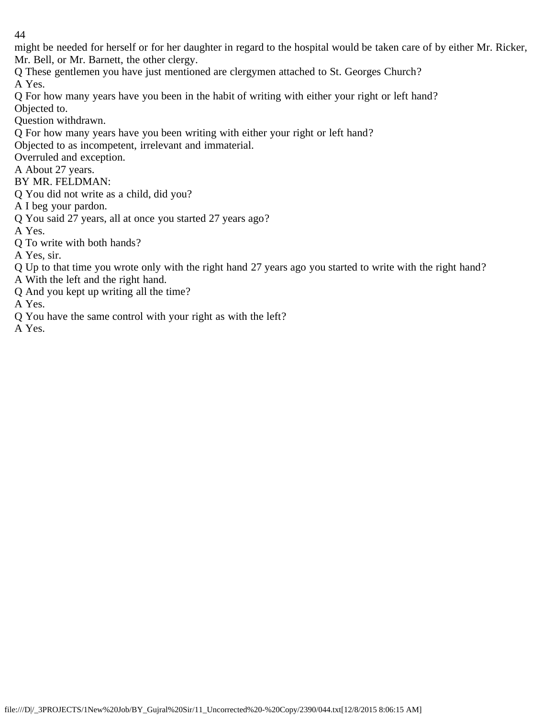might be needed for herself or for her daughter in regard to the hospital would be taken care of by either Mr. Ricker, Mr. Bell, or Mr. Barnett, the other clergy.

Q These gentlemen you have just mentioned are clergymen attached to St. Georges Church? A Yes.

Q For how many years have you been in the habit of writing with either your right or left hand? Objected to.

Question withdrawn.

Q For how many years have you been writing with either your right or left hand?

Objected to as incompetent, irrelevant and immaterial.

Overruled and exception.

A About 27 years.

BY MR. FELDMAN:

Q You did not write as a child, did you?

A I beg your pardon.

Q You said 27 years, all at once you started 27 years ago?

A Yes.

Q To write with both hands?

A Yes, sir.

Q Up to that time you wrote only with the right hand 27 years ago you started to write with the right hand?

A With the left and the right hand.

Q And you kept up writing all the time?

A Yes.

Q You have the same control with your right as with the left?

A Yes.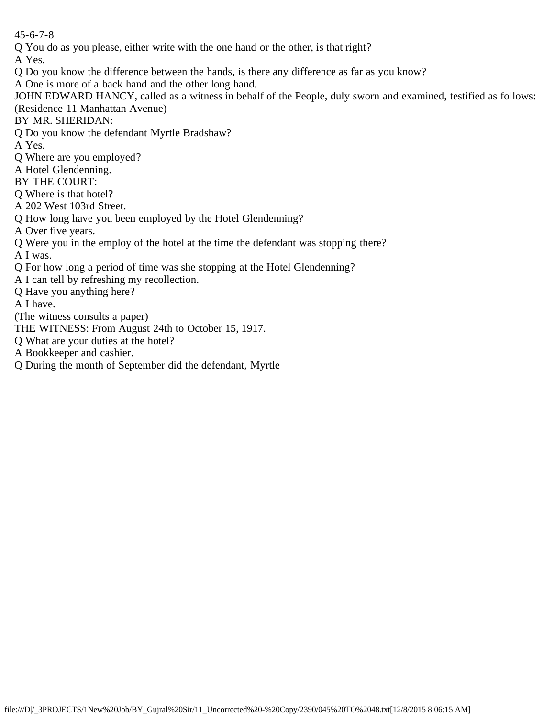45-6-7-8

Q You do as you please, either write with the one hand or the other, is that right?

A Yes.

- Q Do you know the difference between the hands, is there any difference as far as you know?
- A One is more of a back hand and the other long hand.

JOHN EDWARD HANCY, called as a witness in behalf of the People, duly sworn and examined, testified as follows: (Residence 11 Manhattan Avenue)

BY MR. SHERIDAN:

Q Do you know the defendant Myrtle Bradshaw?

A Yes.

- Q Where are you employed?
- A Hotel Glendenning.

BY THE COURT:

Q Where is that hotel?

A 202 West 103rd Street.

Q How long have you been employed by the Hotel Glendenning?

A Over five years.

Q Were you in the employ of the hotel at the time the defendant was stopping there?

A I was.

Q For how long a period of time was she stopping at the Hotel Glendenning?

A I can tell by refreshing my recollection.

Q Have you anything here?

A I have.

(The witness consults a paper)

THE WITNESS: From August 24th to October 15, 1917.

- Q What are your duties at the hotel?
- A Bookkeeper and cashier.
- Q During the month of September did the defendant, Myrtle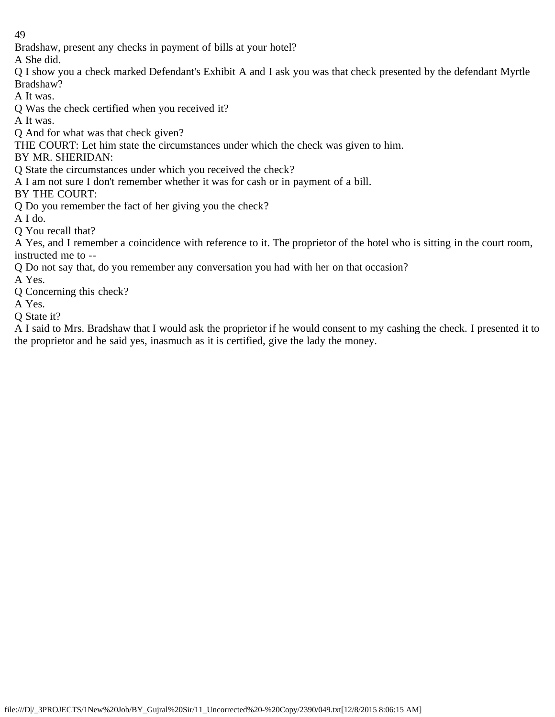Bradshaw, present any checks in payment of bills at your hotel?

A She did.

Q I show you a check marked Defendant's Exhibit A and I ask you was that check presented by the defendant Myrtle Bradshaw?

A It was.

Q Was the check certified when you received it?

A It was.

Q And for what was that check given?

THE COURT: Let him state the circumstances under which the check was given to him.

BY MR. SHERIDAN:

Q State the circumstances under which you received the check?

A I am not sure I don't remember whether it was for cash or in payment of a bill.

BY THE COURT:

Q Do you remember the fact of her giving you the check?

A I do.

Q You recall that?

A Yes, and I remember a coincidence with reference to it. The proprietor of the hotel who is sitting in the court room, instructed me to --

Q Do not say that, do you remember any conversation you had with her on that occasion?

A Yes.

Q Concerning this check?

A Yes.

Q State it?

A I said to Mrs. Bradshaw that I would ask the proprietor if he would consent to my cashing the check. I presented it to the proprietor and he said yes, inasmuch as it is certified, give the lady the money.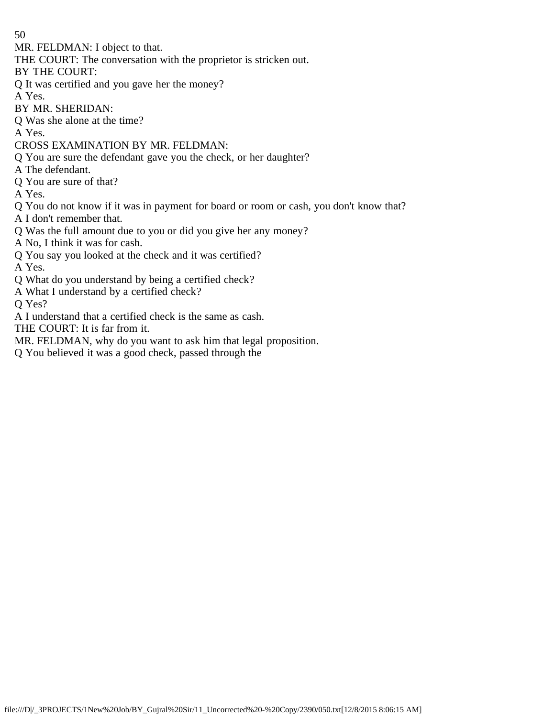MR. FELDMAN: I object to that.

THE COURT: The conversation with the proprietor is stricken out.

BY THE COURT:

Q It was certified and you gave her the money?

A Yes.

BY MR. SHERIDAN:

Q Was she alone at the time?

A Yes.

CROSS EXAMINATION BY MR. FELDMAN:

Q You are sure the defendant gave you the check, or her daughter?

A The defendant.

Q You are sure of that?

A Yes.

Q You do not know if it was in payment for board or room or cash, you don't know that?

A I don't remember that.

Q Was the full amount due to you or did you give her any money?

A No, I think it was for cash.

Q You say you looked at the check and it was certified?

A Yes.

Q What do you understand by being a certified check?

A What I understand by a certified check?

Q Yes?

A I understand that a certified check is the same as cash.

THE COURT: It is far from it.

MR. FELDMAN, why do you want to ask him that legal proposition.

Q You believed it was a good check, passed through the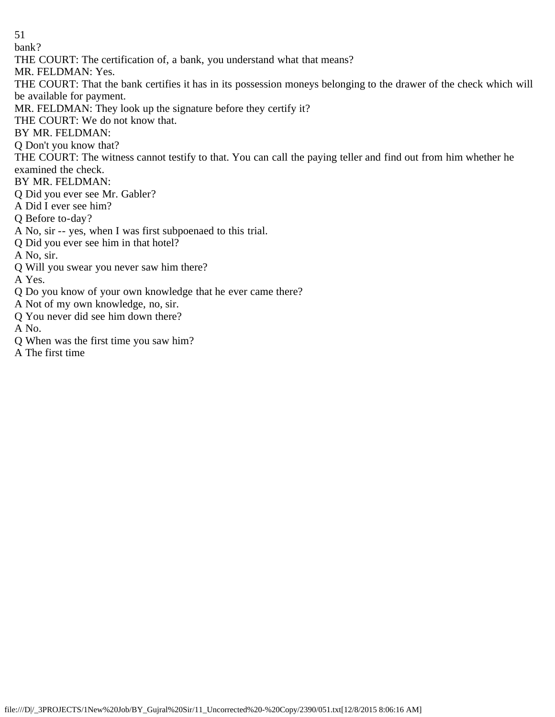bank?

THE COURT: The certification of, a bank, you understand what that means?

MR. FELDMAN: Yes.

THE COURT: That the bank certifies it has in its possession moneys belonging to the drawer of the check which will be available for payment.

- MR. FELDMAN: They look up the signature before they certify it?
- THE COURT: We do not know that.

BY MR. FELDMAN:

Q Don't you know that?

THE COURT: The witness cannot testify to that. You can call the paying teller and find out from him whether he examined the check.

- BY MR. FELDMAN:
- Q Did you ever see Mr. Gabler?
- A Did I ever see him?
- Q Before to-day?
- A No, sir -- yes, when I was first subpoenaed to this trial.
- Q Did you ever see him in that hotel?

A No, sir.

Q Will you swear you never saw him there?

A Yes.

- Q Do you know of your own knowledge that he ever came there?
- A Not of my own knowledge, no, sir.
- Q You never did see him down there?

A No.

- Q When was the first time you saw him?
- A The first time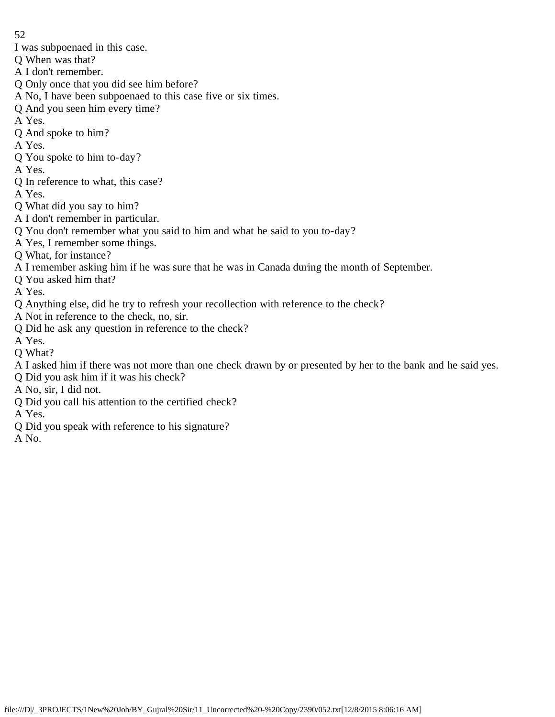- I was subpoenaed in this case.
- Q When was that?
- A I don't remember.
- Q Only once that you did see him before?
- A No, I have been subpoenaed to this case five or six times.
- Q And you seen him every time?
- A Yes.
- Q And spoke to him?
- A Yes.
- Q You spoke to him to-day?
- A Yes.
- Q In reference to what, this case?
- A Yes.
- Q What did you say to him?
- A I don't remember in particular.
- Q You don't remember what you said to him and what he said to you to-day?
- A Yes, I remember some things.
- Q What, for instance?
- A I remember asking him if he was sure that he was in Canada during the month of September.
- Q You asked him that?
- A Yes.
- Q Anything else, did he try to refresh your recollection with reference to the check?
- A Not in reference to the check, no, sir.
- Q Did he ask any question in reference to the check?
- A Yes.
- Q What?
- A I asked him if there was not more than one check drawn by or presented by her to the bank and he said yes.
- Q Did you ask him if it was his check?
- A No, sir, I did not.
- Q Did you call his attention to the certified check?
- A Yes.
- Q Did you speak with reference to his signature?
- A No.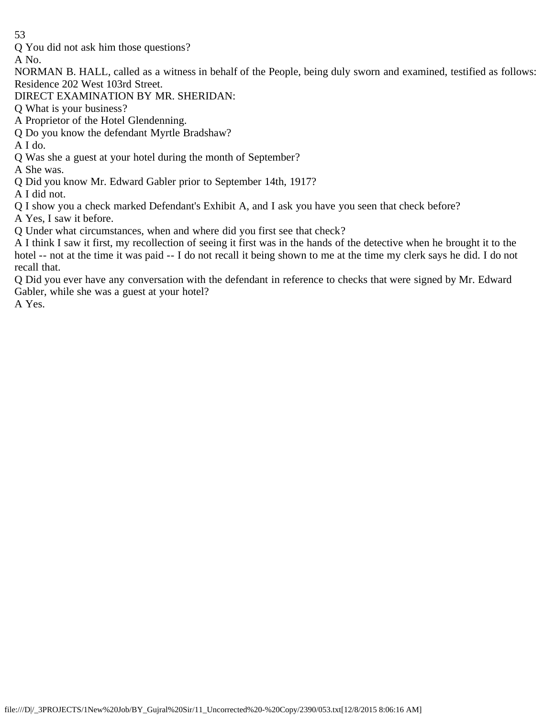Q You did not ask him those questions?

A No.

NORMAN B. HALL, called as a witness in behalf of the People, being duly sworn and examined, testified as follows: Residence 202 West 103rd Street.

DIRECT EXAMINATION BY MR. SHERIDAN:

Q What is your business?

A Proprietor of the Hotel Glendenning.

Q Do you know the defendant Myrtle Bradshaw?

A I do.

Q Was she a guest at your hotel during the month of September?

A She was.

Q Did you know Mr. Edward Gabler prior to September 14th, 1917?

A I did not.

Q I show you a check marked Defendant's Exhibit A, and I ask you have you seen that check before?

A Yes, I saw it before.

Q Under what circumstances, when and where did you first see that check?

A I think I saw it first, my recollection of seeing it first was in the hands of the detective when he brought it to the hotel -- not at the time it was paid -- I do not recall it being shown to me at the time my clerk says he did. I do not recall that.

Q Did you ever have any conversation with the defendant in reference to checks that were signed by Mr. Edward Gabler, while she was a guest at your hotel?

A Yes.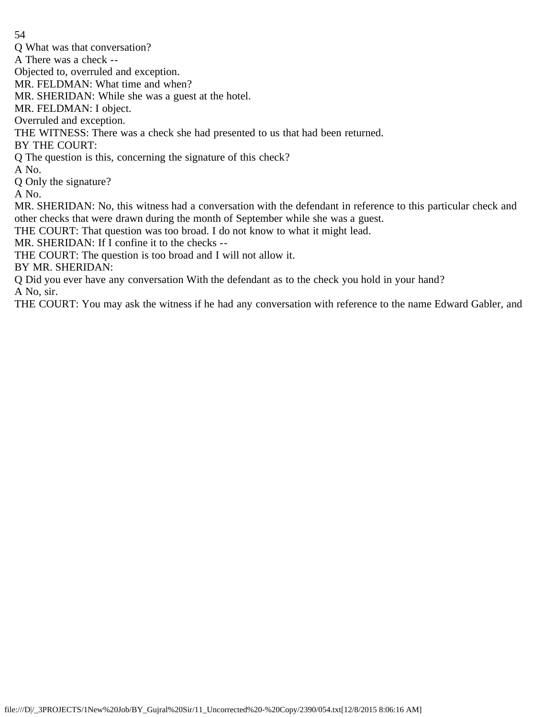Q What was that conversation?

A There was a check --

Objected to, overruled and exception.

MR. FELDMAN: What time and when?

MR. SHERIDAN: While she was a guest at the hotel.

MR. FELDMAN: I object.

Overruled and exception.

THE WITNESS: There was a check she had presented to us that had been returned.

BY THE COURT:

Q The question is this, concerning the signature of this check?

A No.

Q Only the signature?

A No.

MR. SHERIDAN: No, this witness had a conversation with the defendant in reference to this particular check and other checks that were drawn during the month of September while she was a guest.

THE COURT: That question was too broad. I do not know to what it might lead.

MR. SHERIDAN: If I confine it to the checks --

THE COURT: The question is too broad and I will not allow it.

BY MR. SHERIDAN:

Q Did you ever have any conversation With the defendant as to the check you hold in your hand?

A No, sir.

THE COURT: You may ask the witness if he had any conversation with reference to the name Edward Gabler, and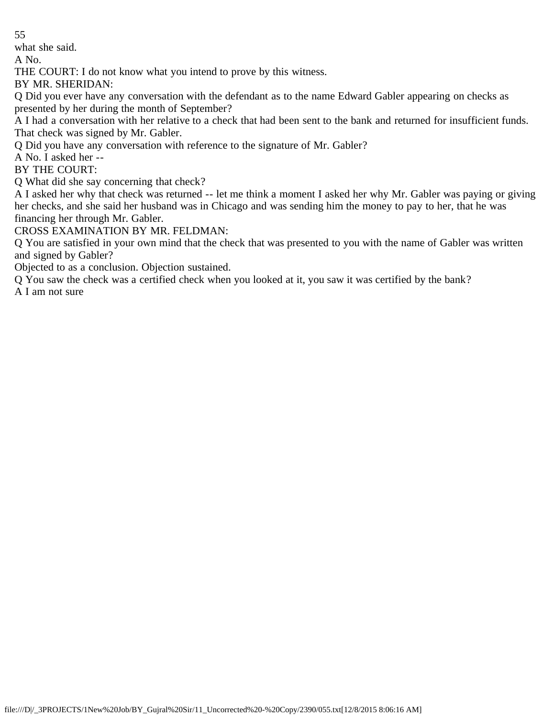what she said.

A No.

THE COURT: I do not know what you intend to prove by this witness.

BY MR. SHERIDAN:

Q Did you ever have any conversation with the defendant as to the name Edward Gabler appearing on checks as presented by her during the month of September?

A I had a conversation with her relative to a check that had been sent to the bank and returned for insufficient funds. That check was signed by Mr. Gabler.

Q Did you have any conversation with reference to the signature of Mr. Gabler?

A No. I asked her --

BY THE COURT:

Q What did she say concerning that check?

A I asked her why that check was returned -- let me think a moment I asked her why Mr. Gabler was paying or giving her checks, and she said her husband was in Chicago and was sending him the money to pay to her, that he was financing her through Mr. Gabler.

CROSS EXAMINATION BY MR. FELDMAN:

Q You are satisfied in your own mind that the check that was presented to you with the name of Gabler was written and signed by Gabler?

Objected to as a conclusion. Objection sustained.

Q You saw the check was a certified check when you looked at it, you saw it was certified by the bank?

A I am not sure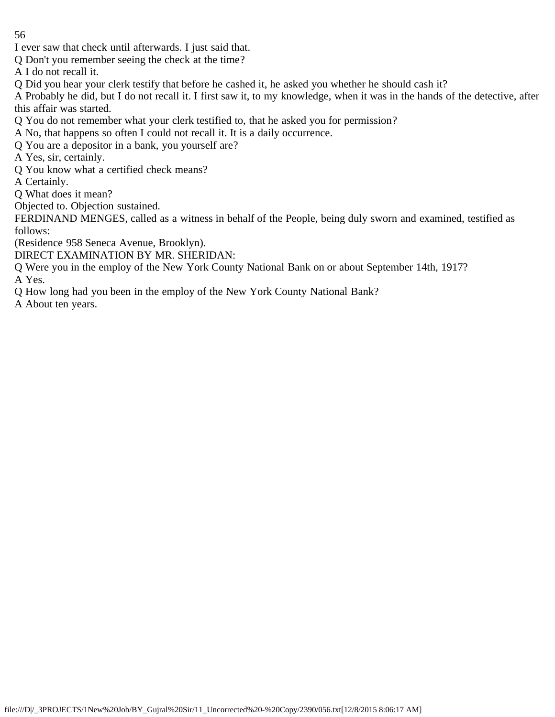I ever saw that check until afterwards. I just said that.

Q Don't you remember seeing the check at the time?

A I do not recall it.

Q Did you hear your clerk testify that before he cashed it, he asked you whether he should cash it?

A Probably he did, but I do not recall it. I first saw it, to my knowledge, when it was in the hands of the detective, after this affair was started.

Q You do not remember what your clerk testified to, that he asked you for permission?

A No, that happens so often I could not recall it. It is a daily occurrence.

Q You are a depositor in a bank, you yourself are?

A Yes, sir, certainly.

Q You know what a certified check means?

A Certainly.

Q What does it mean?

Objected to. Objection sustained.

FERDINAND MENGES, called as a witness in behalf of the People, being duly sworn and examined, testified as follows:

(Residence 958 Seneca Avenue, Brooklyn).

DIRECT EXAMINATION BY MR. SHERIDAN:

Q Were you in the employ of the New York County National Bank on or about September 14th, 1917? A Yes.

Q How long had you been in the employ of the New York County National Bank?

A About ten years.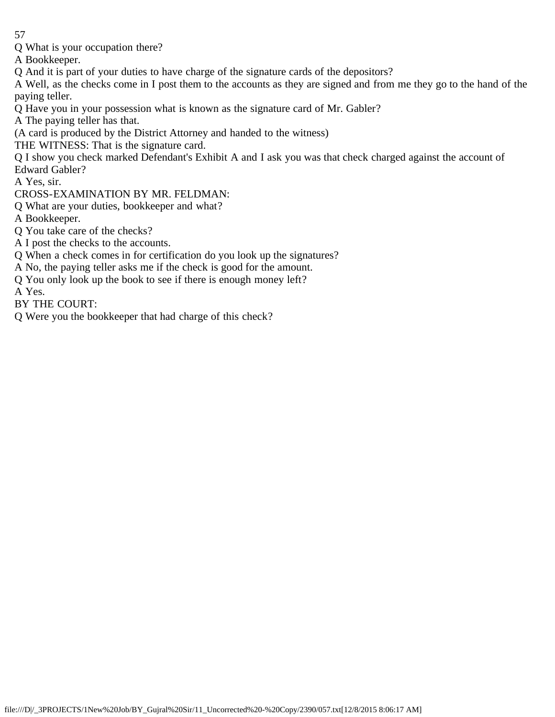Q What is your occupation there?

A Bookkeeper.

Q And it is part of your duties to have charge of the signature cards of the depositors?

A Well, as the checks come in I post them to the accounts as they are signed and from me they go to the hand of the paying teller.

- Q Have you in your possession what is known as the signature card of Mr. Gabler?
- A The paying teller has that.
- (A card is produced by the District Attorney and handed to the witness)
- THE WITNESS: That is the signature card.
- Q I show you check marked Defendant's Exhibit A and I ask you was that check charged against the account of Edward Gabler?

A Yes, sir.

- CROSS-EXAMINATION BY MR. FELDMAN:
- Q What are your duties, bookkeeper and what?
- A Bookkeeper.
- Q You take care of the checks?
- A I post the checks to the accounts.
- Q When a check comes in for certification do you look up the signatures?
- A No, the paying teller asks me if the check is good for the amount.
- Q You only look up the book to see if there is enough money left?
- A Yes.

BY THE COURT:

Q Were you the bookkeeper that had charge of this check?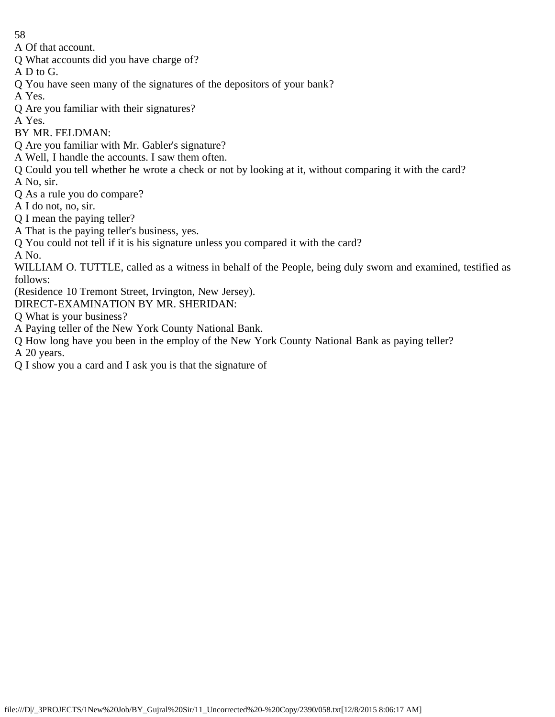A Of that account.

Q What accounts did you have charge of?

A D to G.

Q You have seen many of the signatures of the depositors of your bank?

A Yes.

Q Are you familiar with their signatures?

A Yes.

BY MR. FELDMAN:

Q Are you familiar with Mr. Gabler's signature?

A Well, I handle the accounts. I saw them often.

Q Could you tell whether he wrote a check or not by looking at it, without comparing it with the card?

A No, sir.

Q As a rule you do compare?

A I do not, no, sir.

Q I mean the paying teller?

A That is the paying teller's business, yes.

Q You could not tell if it is his signature unless you compared it with the card?

A No.

WILLIAM O. TUTTLE, called as a witness in behalf of the People, being duly sworn and examined, testified as follows:

(Residence 10 Tremont Street, Irvington, New Jersey).

DIRECT-EXAMINATION BY MR. SHERIDAN:

Q What is your business?

A Paying teller of the New York County National Bank.

Q How long have you been in the employ of the New York County National Bank as paying teller?

A 20 years.

Q I show you a card and I ask you is that the signature of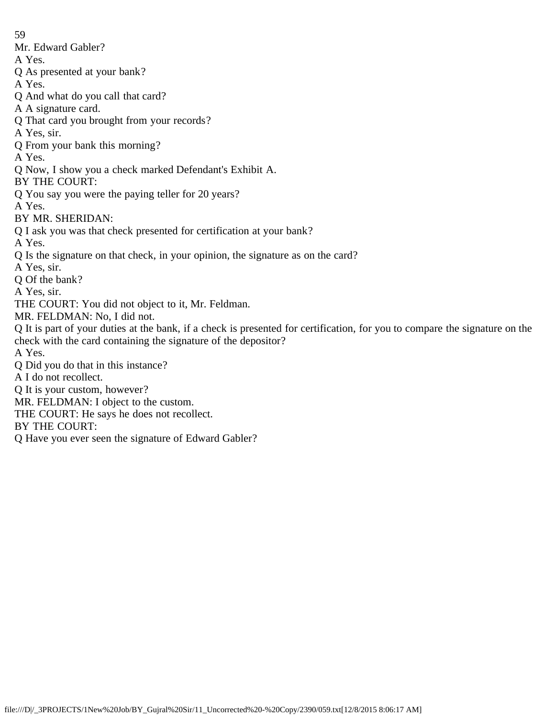59 Mr. Edward Gabler? A Yes. Q As presented at your bank? A Yes. Q And what do you call that card? A A signature card. Q That card you brought from your records? A Yes, sir. Q From your bank this morning? A Yes. Q Now, I show you a check marked Defendant's Exhibit A. BY THE COURT: Q You say you were the paying teller for 20 years? A Yes. BY MR. SHERIDAN: Q I ask you was that check presented for certification at your bank? A Yes. Q Is the signature on that check, in your opinion, the signature as on the card? A Yes, sir. Q Of the bank? A Yes, sir. THE COURT: You did not object to it, Mr. Feldman. MR. FELDMAN: No, I did not. Q It is part of your duties at the bank, if a check is presented for certification, for you to compare the signature on the check with the card containing the signature of the depositor? A Yes. Q Did you do that in this instance? A I do not recollect. Q It is your custom, however? MR. FELDMAN: I object to the custom. THE COURT: He says he does not recollect. BY THE COURT: Q Have you ever seen the signature of Edward Gabler?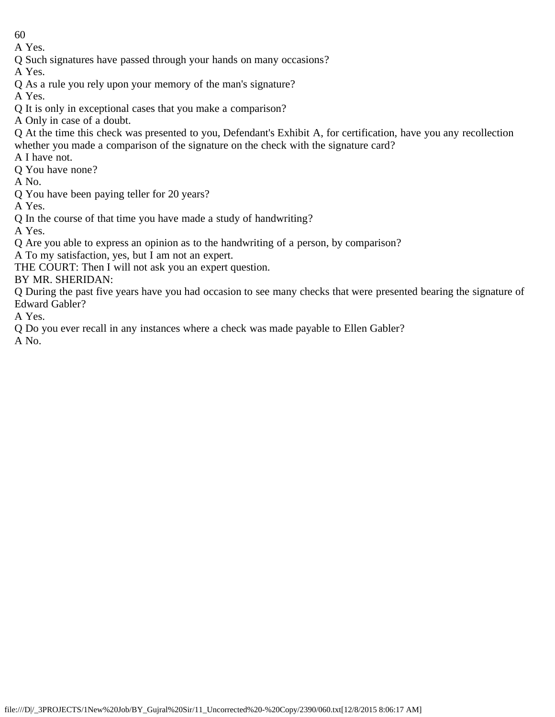A Yes.

Q Such signatures have passed through your hands on many occasions?

A Yes.

Q As a rule you rely upon your memory of the man's signature?

A Yes.

- Q It is only in exceptional cases that you make a comparison?
- A Only in case of a doubt.
- Q At the time this check was presented to you, Defendant's Exhibit A, for certification, have you any recollection whether you made a comparison of the signature on the check with the signature card?

A I have not.

Q You have none?

A No.

Q You have been paying teller for 20 years?

A Yes.

Q In the course of that time you have made a study of handwriting?

A Yes.

Q Are you able to express an opinion as to the handwriting of a person, by comparison?

A To my satisfaction, yes, but I am not an expert.

THE COURT: Then I will not ask you an expert question.

BY MR. SHERIDAN:

Q During the past five years have you had occasion to see many checks that were presented bearing the signature of Edward Gabler?

A Yes.

Q Do you ever recall in any instances where a check was made payable to Ellen Gabler?

A No.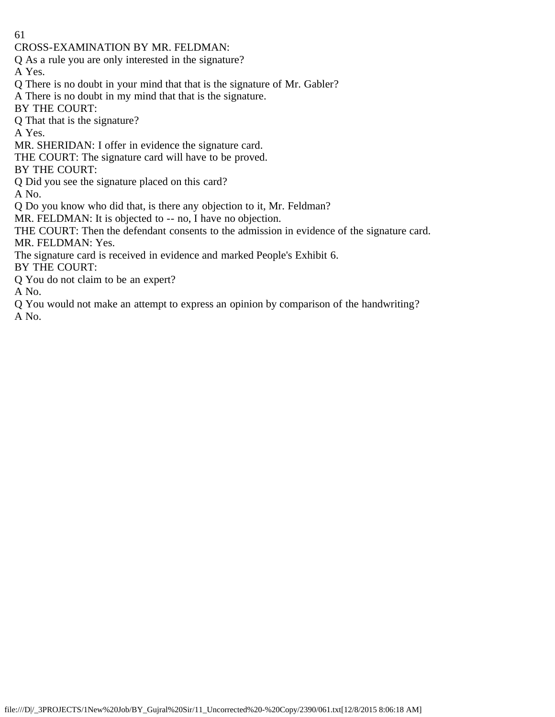61 CROSS-EXAMINATION BY MR. FELDMAN: Q As a rule you are only interested in the signature? A Yes. Q There is no doubt in your mind that that is the signature of Mr. Gabler? A There is no doubt in my mind that that is the signature. BY THE COURT: Q That that is the signature? A Yes. MR. SHERIDAN: I offer in evidence the signature card. THE COURT: The signature card will have to be proved. BY THE COURT: Q Did you see the signature placed on this card? A No. Q Do you know who did that, is there any objection to it, Mr. Feldman? MR. FELDMAN: It is objected to -- no, I have no objection. THE COURT: Then the defendant consents to the admission in evidence of the signature card. MR. FELDMAN: Yes. The signature card is received in evidence and marked People's Exhibit 6. BY THE COURT: Q You do not claim to be an expert? A No.

Q You would not make an attempt to express an opinion by comparison of the handwriting? A No.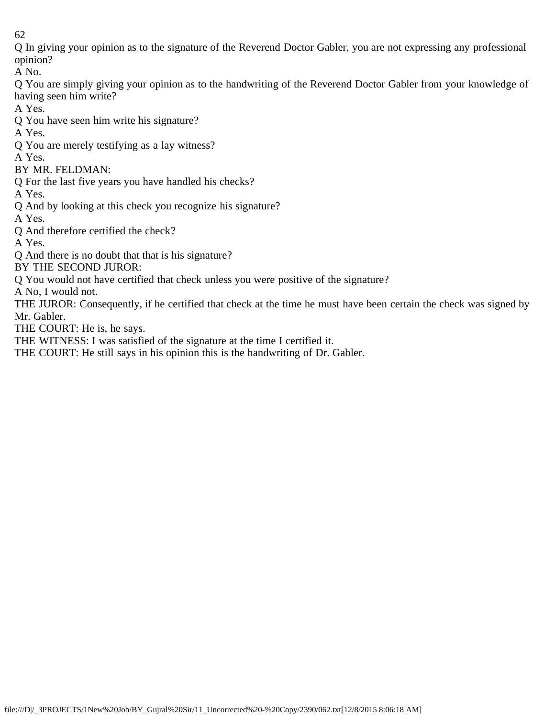Q In giving your opinion as to the signature of the Reverend Doctor Gabler, you are not expressing any professional opinion?

A No.

Q You are simply giving your opinion as to the handwriting of the Reverend Doctor Gabler from your knowledge of having seen him write?

A Yes.

Q You have seen him write his signature?

A Yes.

Q You are merely testifying as a lay witness?

A Yes.

BY MR. FELDMAN:

Q For the last five years you have handled his checks?

A Yes.

Q And by looking at this check you recognize his signature?

A Yes.

Q And therefore certified the check?

A Yes.

Q And there is no doubt that that is his signature?

BY THE SECOND JUROR:

Q You would not have certified that check unless you were positive of the signature?

A No, I would not.

THE JUROR: Consequently, if he certified that check at the time he must have been certain the check was signed by Mr. Gabler.

THE COURT: He is, he says.

THE WITNESS: I was satisfied of the signature at the time I certified it.

THE COURT: He still says in his opinion this is the handwriting of Dr. Gabler.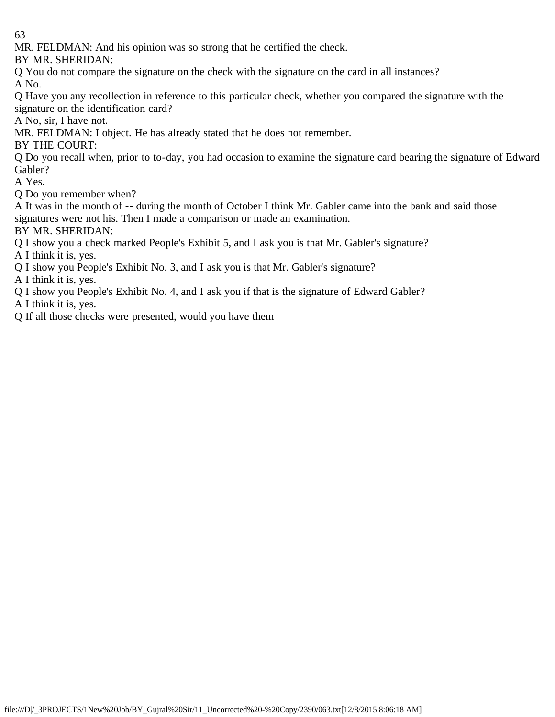MR. FELDMAN: And his opinion was so strong that he certified the check.

BY MR. SHERIDAN:

Q You do not compare the signature on the check with the signature on the card in all instances? A No.

Q Have you any recollection in reference to this particular check, whether you compared the signature with the signature on the identification card?

A No, sir, I have not.

MR. FELDMAN: I object. He has already stated that he does not remember.

BY THE COURT:

Q Do you recall when, prior to to-day, you had occasion to examine the signature card bearing the signature of Edward Gabler?

A Yes.

Q Do you remember when?

A It was in the month of -- during the month of October I think Mr. Gabler came into the bank and said those signatures were not his. Then I made a comparison or made an examination.

BY MR. SHERIDAN:

Q I show you a check marked People's Exhibit 5, and I ask you is that Mr. Gabler's signature?

A I think it is, yes.

Q I show you People's Exhibit No. 3, and I ask you is that Mr. Gabler's signature?

A I think it is, yes.

Q I show you People's Exhibit No. 4, and I ask you if that is the signature of Edward Gabler?

A I think it is, yes.

Q If all those checks were presented, would you have them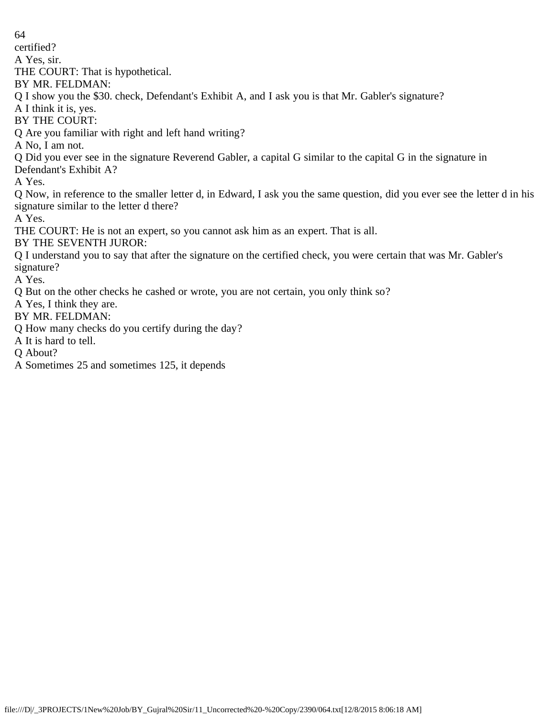certified?

A Yes, sir.

THE COURT: That is hypothetical.

BY MR. FELDMAN:

Q I show you the \$30. check, Defendant's Exhibit A, and I ask you is that Mr. Gabler's signature?

A I think it is, yes.

BY THE COURT:

Q Are you familiar with right and left hand writing?

A No, I am not.

Q Did you ever see in the signature Reverend Gabler, a capital G similar to the capital G in the signature in

Defendant's Exhibit A?

A Yes.

Q Now, in reference to the smaller letter d, in Edward, I ask you the same question, did you ever see the letter d in his signature similar to the letter d there?

A Yes.

THE COURT: He is not an expert, so you cannot ask him as an expert. That is all.

BY THE SEVENTH JUROR:

Q I understand you to say that after the signature on the certified check, you were certain that was Mr. Gabler's signature?

A Yes.

Q But on the other checks he cashed or wrote, you are not certain, you only think so?

A Yes, I think they are.

BY MR. FELDMAN:

Q How many checks do you certify during the day?

A It is hard to tell.

Q About?

A Sometimes 25 and sometimes 125, it depends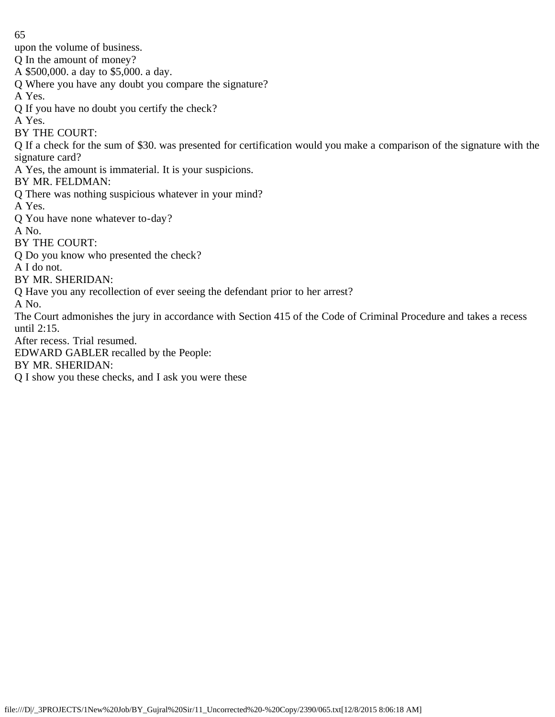upon the volume of business.

Q In the amount of money?

A \$500,000. a day to \$5,000. a day.

Q Where you have any doubt you compare the signature?

A Yes.

Q If you have no doubt you certify the check?

A Yes.

BY THE COURT:

Q If a check for the sum of \$30. was presented for certification would you make a comparison of the signature with the signature card?

A Yes, the amount is immaterial. It is your suspicions.

BY MR. FELDMAN:

Q There was nothing suspicious whatever in your mind?

A Yes.

Q You have none whatever to-day?

A No.

BY THE COURT:

Q Do you know who presented the check?

A I do not.

BY MR. SHERIDAN:

Q Have you any recollection of ever seeing the defendant prior to her arrest?

A No.

The Court admonishes the jury in accordance with Section 415 of the Code of Criminal Procedure and takes a recess until 2:15.

After recess. Trial resumed.

EDWARD GABLER recalled by the People:

BY MR. SHERIDAN:

Q I show you these checks, and I ask you were these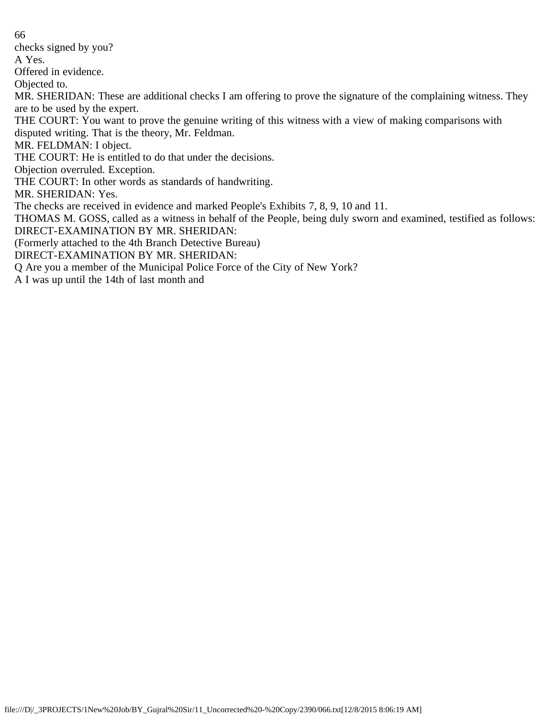66 checks signed by you? A Yes. Offered in evidence. Objected to. MR. SHERIDAN: These are additional checks I am offering to prove the signature of the complaining witness. They are to be used by the expert. THE COURT: You want to prove the genuine writing of this witness with a view of making comparisons with disputed writing. That is the theory, Mr. Feldman. MR. FELDMAN: I object. THE COURT: He is entitled to do that under the decisions. Objection overruled. Exception. THE COURT: In other words as standards of handwriting. MR. SHERIDAN: Yes. The checks are received in evidence and marked People's Exhibits 7, 8, 9, 10 and 11. THOMAS M. GOSS, called as a witness in behalf of the People, being duly sworn and examined, testified as follows: DIRECT-EXAMINATION BY MR. SHERIDAN: (Formerly attached to the 4th Branch Detective Bureau) DIRECT-EXAMINATION BY MR. SHERIDAN: Q Are you a member of the Municipal Police Force of the City of New York?

A I was up until the 14th of last month and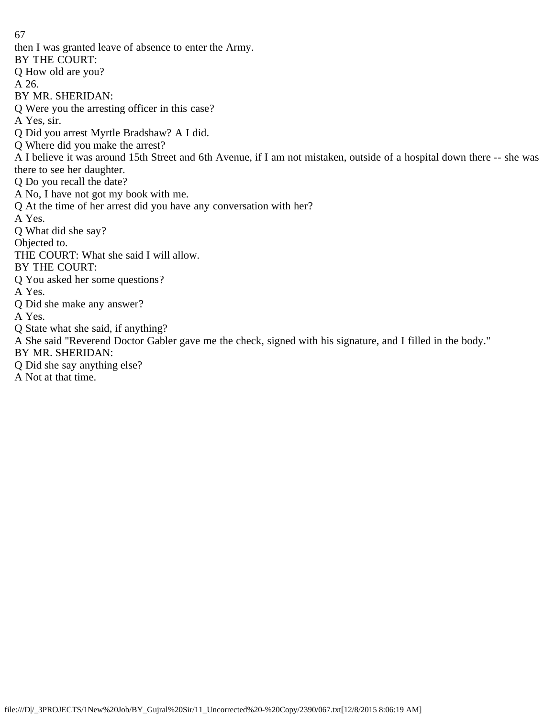then I was granted leave of absence to enter the Army. BY THE COURT: Q How old are you? A 26. BY MR. SHERIDAN: Q Were you the arresting officer in this case? A Yes, sir. Q Did you arrest Myrtle Bradshaw? A I did. Q Where did you make the arrest? A I believe it was around 15th Street and 6th Avenue, if I am not mistaken, outside of a hospital down there -- she was there to see her daughter. Q Do you recall the date? A No, I have not got my book with me. Q At the time of her arrest did you have any conversation with her? A Yes. Q What did she say? Objected to. THE COURT: What she said I will allow. BY THE COURT: Q You asked her some questions? A Yes. Q Did she make any answer? A Yes. Q State what she said, if anything? A She said "Reverend Doctor Gabler gave me the check, signed with his signature, and I filled in the body." BY MR. SHERIDAN: Q Did she say anything else? A Not at that time.

67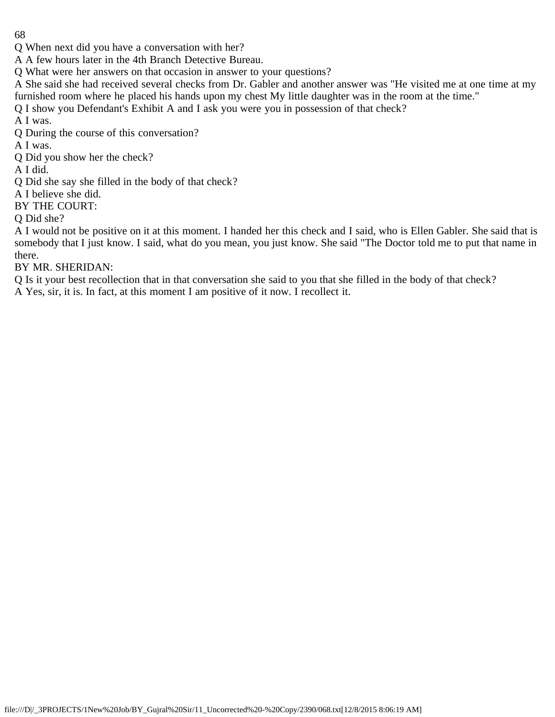Q When next did you have a conversation with her?

A A few hours later in the 4th Branch Detective Bureau.

Q What were her answers on that occasion in answer to your questions?

A She said she had received several checks from Dr. Gabler and another answer was "He visited me at one time at my furnished room where he placed his hands upon my chest My little daughter was in the room at the time."

Q I show you Defendant's Exhibit A and I ask you were you in possession of that check?

A I was.

Q During the course of this conversation?

A I was.

Q Did you show her the check?

A I did.

Q Did she say she filled in the body of that check?

A I believe she did.

BY THE COURT:

Q Did she?

A I would not be positive on it at this moment. I handed her this check and I said, who is Ellen Gabler. She said that is somebody that I just know. I said, what do you mean, you just know. She said "The Doctor told me to put that name in there.

BY MR. SHERIDAN:

Q Is it your best recollection that in that conversation she said to you that she filled in the body of that check?

A Yes, sir, it is. In fact, at this moment I am positive of it now. I recollect it.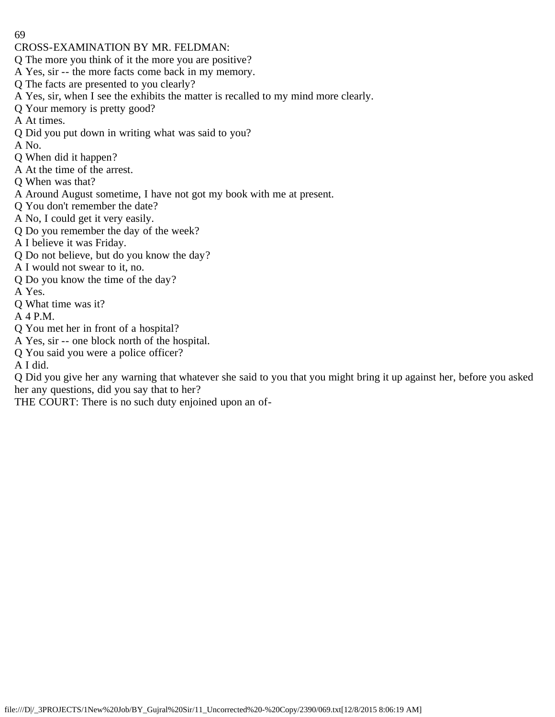- CROSS-EXAMINATION BY MR. FELDMAN:
- Q The more you think of it the more you are positive?
- A Yes, sir -- the more facts come back in my memory.
- Q The facts are presented to you clearly?
- A Yes, sir, when I see the exhibits the matter is recalled to my mind more clearly.
- Q Your memory is pretty good?
- A At times.
- Q Did you put down in writing what was said to you?
- A No.
- Q When did it happen?
- A At the time of the arrest.
- Q When was that?
- A Around August sometime, I have not got my book with me at present.
- Q You don't remember the date?
- A No, I could get it very easily.
- Q Do you remember the day of the week?
- A I believe it was Friday.
- Q Do not believe, but do you know the day?
- A I would not swear to it, no.
- Q Do you know the time of the day?
- A Yes.
- Q What time was it?
- A 4 P.M.
- Q You met her in front of a hospital?
- A Yes, sir -- one block north of the hospital.
- Q You said you were a police officer?
- A I did.
- Q Did you give her any warning that whatever she said to you that you might bring it up against her, before you asked her any questions, did you say that to her?
- THE COURT: There is no such duty enjoined upon an of-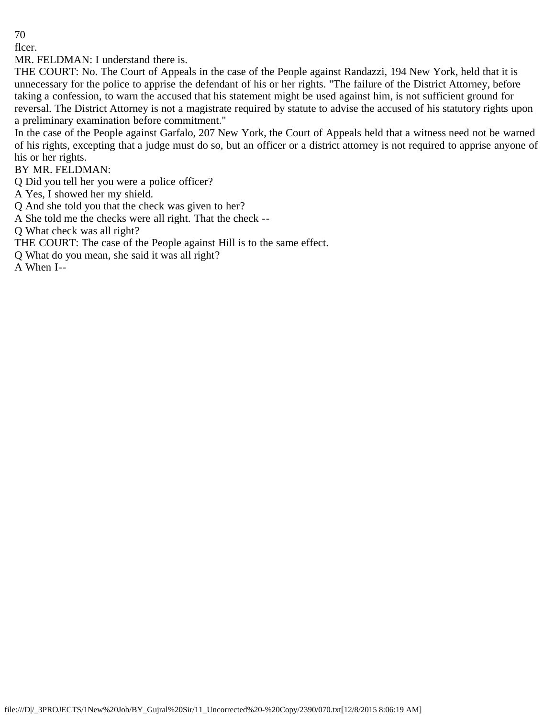flcer.

MR. FELDMAN: I understand there is.

THE COURT: No. The Court of Appeals in the case of the People against Randazzi, 194 New York, held that it is unnecessary for the police to apprise the defendant of his or her rights. "The failure of the District Attorney, before taking a confession, to warn the accused that his statement might be used against him, is not sufficient ground for reversal. The District Attorney is not a magistrate required by statute to advise the accused of his statutory rights upon a preliminary examination before commitment."

In the case of the People against Garfalo, 207 New York, the Court of Appeals held that a witness need not be warned of his rights, excepting that a judge must do so, but an officer or a district attorney is not required to apprise anyone of his or her rights.

BY MR. FELDMAN:

Q Did you tell her you were a police officer?

A Yes, I showed her my shield.

Q And she told you that the check was given to her?

A She told me the checks were all right. That the check --

Q What check was all right?

THE COURT: The case of the People against Hill is to the same effect.

Q What do you mean, she said it was all right?

A When I--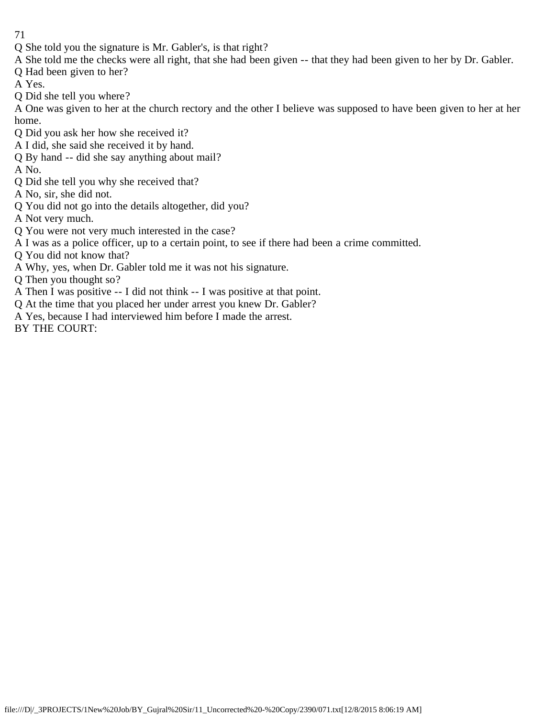- 71
- Q She told you the signature is Mr. Gabler's, is that right?
- A She told me the checks were all right, that she had been given -- that they had been given to her by Dr. Gabler.
- Q Had been given to her?
- A Yes.
- Q Did she tell you where?

A One was given to her at the church rectory and the other I believe was supposed to have been given to her at her home.

- Q Did you ask her how she received it?
- A I did, she said she received it by hand.
- Q By hand -- did she say anything about mail?
- A No.
- Q Did she tell you why she received that?
- A No, sir, she did not.
- Q You did not go into the details altogether, did you?
- A Not very much.
- Q You were not very much interested in the case?
- A I was as a police officer, up to a certain point, to see if there had been a crime committed.
- Q You did not know that?
- A Why, yes, when Dr. Gabler told me it was not his signature.
- Q Then you thought so?
- A Then I was positive -- I did not think -- I was positive at that point.
- Q At the time that you placed her under arrest you knew Dr. Gabler?
- A Yes, because I had interviewed him before I made the arrest.
- BY THE COURT: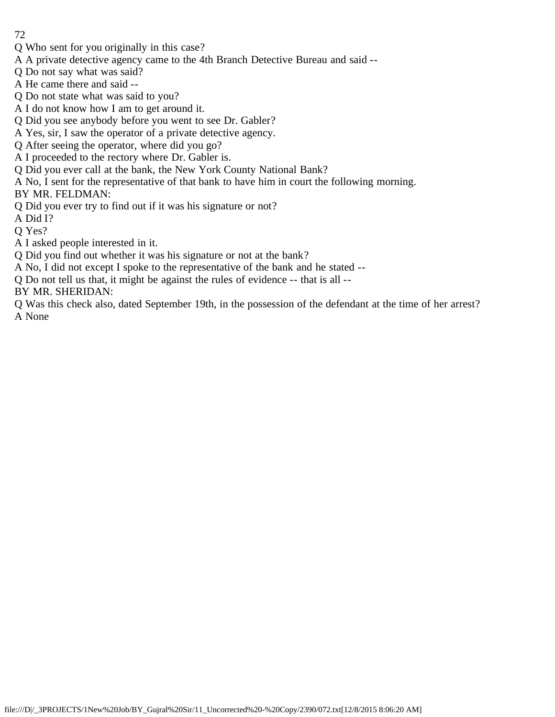- Q Who sent for you originally in this case?
- A A private detective agency came to the 4th Branch Detective Bureau and said --
- Q Do not say what was said?
- A He came there and said --
- Q Do not state what was said to you?
- A I do not know how I am to get around it.
- Q Did you see anybody before you went to see Dr. Gabler?
- A Yes, sir, I saw the operator of a private detective agency.
- Q After seeing the operator, where did you go?
- A I proceeded to the rectory where Dr. Gabler is.
- Q Did you ever call at the bank, the New York County National Bank?
- A No, I sent for the representative of that bank to have him in court the following morning.
- BY MR. FELDMAN:
- Q Did you ever try to find out if it was his signature or not?
- A Did I?
- Q Yes?
- A I asked people interested in it.
- Q Did you find out whether it was his signature or not at the bank?
- A No, I did not except I spoke to the representative of the bank and he stated --
- Q Do not tell us that, it might be against the rules of evidence -- that is all --
- BY MR. SHERIDAN:
- Q Was this check also, dated September 19th, in the possession of the defendant at the time of her arrest? A None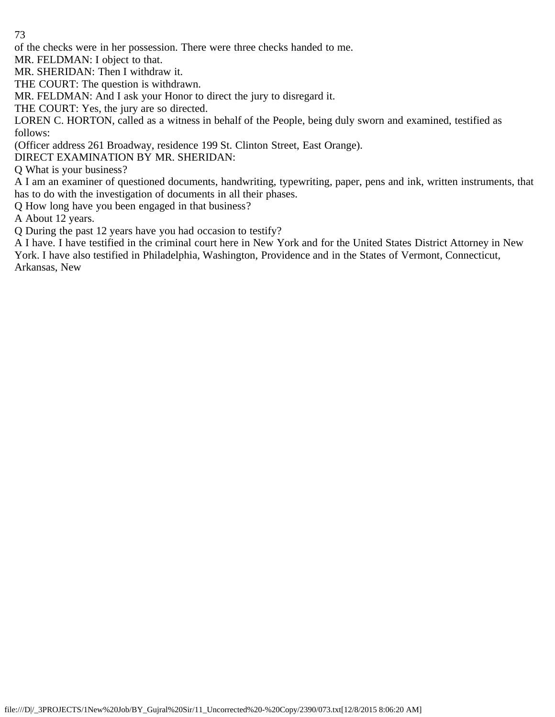of the checks were in her possession. There were three checks handed to me.

MR. FELDMAN: I object to that.

MR. SHERIDAN: Then I withdraw it.

THE COURT: The question is withdrawn.

MR. FELDMAN: And I ask your Honor to direct the jury to disregard it.

THE COURT: Yes, the jury are so directed.

LOREN C. HORTON, called as a witness in behalf of the People, being duly sworn and examined, testified as follows:

(Officer address 261 Broadway, residence 199 St. Clinton Street, East Orange).

DIRECT EXAMINATION BY MR. SHERIDAN:

Q What is your business?

A I am an examiner of questioned documents, handwriting, typewriting, paper, pens and ink, written instruments, that has to do with the investigation of documents in all their phases.

Q How long have you been engaged in that business?

A About 12 years.

Q During the past 12 years have you had occasion to testify?

A I have. I have testified in the criminal court here in New York and for the United States District Attorney in New York. I have also testified in Philadelphia, Washington, Providence and in the States of Vermont, Connecticut, Arkansas, New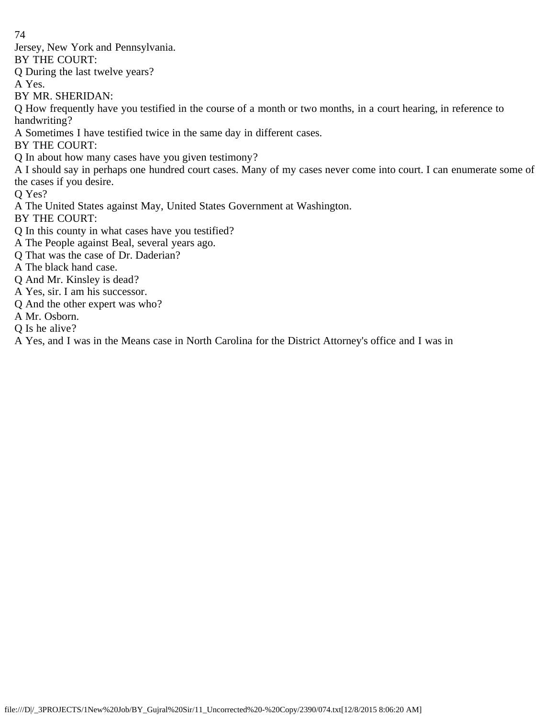Jersey, New York and Pennsylvania.

BY THE COURT:

Q During the last twelve years?

A Yes.

BY MR. SHERIDAN:

Q How frequently have you testified in the course of a month or two months, in a court hearing, in reference to handwriting?

A Sometimes I have testified twice in the same day in different cases.

BY THE COURT:

Q In about how many cases have you given testimony?

A I should say in perhaps one hundred court cases. Many of my cases never come into court. I can enumerate some of the cases if you desire.

Q Yes?

A The United States against May, United States Government at Washington.

BY THE COURT:

Q In this county in what cases have you testified?

- A The People against Beal, several years ago.
- Q That was the case of Dr. Daderian?
- A The black hand case.
- Q And Mr. Kinsley is dead?
- A Yes, sir. I am his successor.
- Q And the other expert was who?
- A Mr. Osborn.
- Q Is he alive?

A Yes, and I was in the Means case in North Carolina for the District Attorney's office and I was in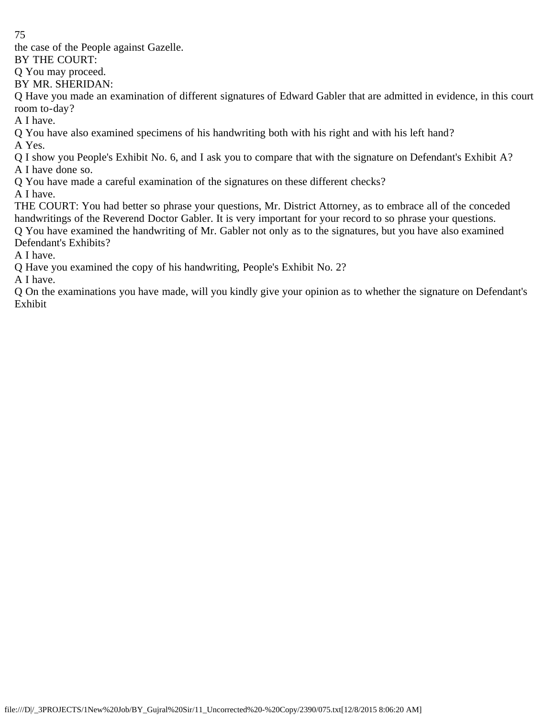the case of the People against Gazelle.

BY THE COURT:

Q You may proceed.

BY MR. SHERIDAN:

Q Have you made an examination of different signatures of Edward Gabler that are admitted in evidence, in this court room to-day?

A I have.

Q You have also examined specimens of his handwriting both with his right and with his left hand? A Yes.

Q I show you People's Exhibit No. 6, and I ask you to compare that with the signature on Defendant's Exhibit A? A I have done so.

Q You have made a careful examination of the signatures on these different checks?

A I have.

THE COURT: You had better so phrase your questions, Mr. District Attorney, as to embrace all of the conceded handwritings of the Reverend Doctor Gabler. It is very important for your record to so phrase your questions. Q You have examined the handwriting of Mr. Gabler not only as to the signatures, but you have also examined Defendant's Exhibits?

A I have.

Q Have you examined the copy of his handwriting, People's Exhibit No. 2?

A I have.

Q On the examinations you have made, will you kindly give your opinion as to whether the signature on Defendant's Exhibit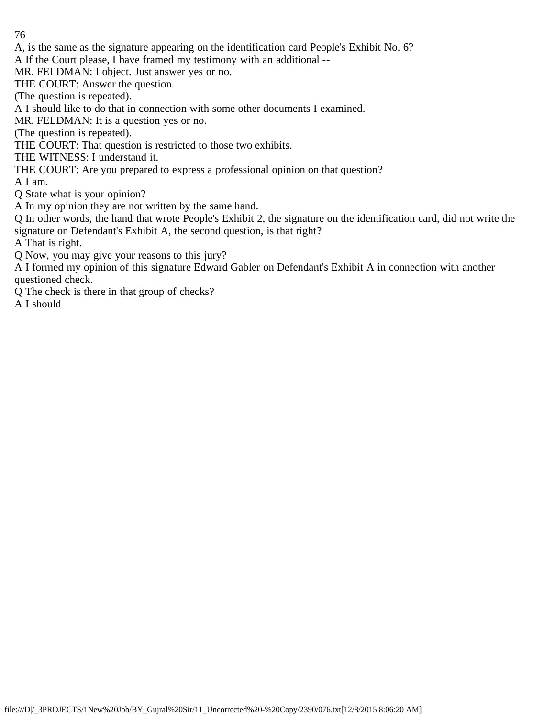A, is the same as the signature appearing on the identification card People's Exhibit No. 6?

A If the Court please, I have framed my testimony with an additional --

MR. FELDMAN: I object. Just answer yes or no.

THE COURT: Answer the question.

(The question is repeated).

A I should like to do that in connection with some other documents I examined.

MR. FELDMAN: It is a question yes or no.

(The question is repeated).

THE COURT: That question is restricted to those two exhibits.

THE WITNESS: I understand it.

THE COURT: Are you prepared to express a professional opinion on that question?

A I am.

Q State what is your opinion?

A In my opinion they are not written by the same hand.

Q In other words, the hand that wrote People's Exhibit 2, the signature on the identification card, did not write the signature on Defendant's Exhibit A, the second question, is that right?

A That is right.

Q Now, you may give your reasons to this jury?

A I formed my opinion of this signature Edward Gabler on Defendant's Exhibit A in connection with another questioned check.

Q The check is there in that group of checks?

A I should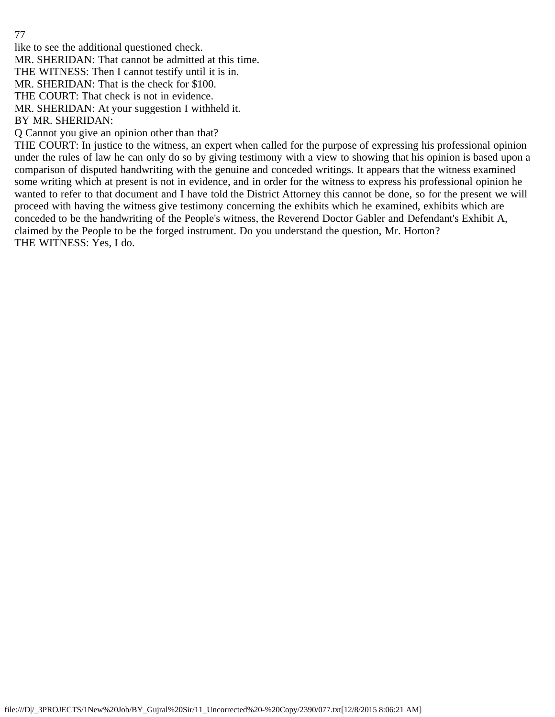like to see the additional questioned check.

MR. SHERIDAN: That cannot be admitted at this time.

THE WITNESS: Then I cannot testify until it is in.

MR. SHERIDAN: That is the check for \$100.

THE COURT: That check is not in evidence.

MR. SHERIDAN: At your suggestion I withheld it.

BY MR. SHERIDAN:

Q Cannot you give an opinion other than that?

THE COURT: In justice to the witness, an expert when called for the purpose of expressing his professional opinion under the rules of law he can only do so by giving testimony with a view to showing that his opinion is based upon a comparison of disputed handwriting with the genuine and conceded writings. It appears that the witness examined some writing which at present is not in evidence, and in order for the witness to express his professional opinion he wanted to refer to that document and I have told the District Attorney this cannot be done, so for the present we will proceed with having the witness give testimony concerning the exhibits which he examined, exhibits which are conceded to be the handwriting of the People's witness, the Reverend Doctor Gabler and Defendant's Exhibit A, claimed by the People to be the forged instrument. Do you understand the question, Mr. Horton? THE WITNESS: Yes, I do.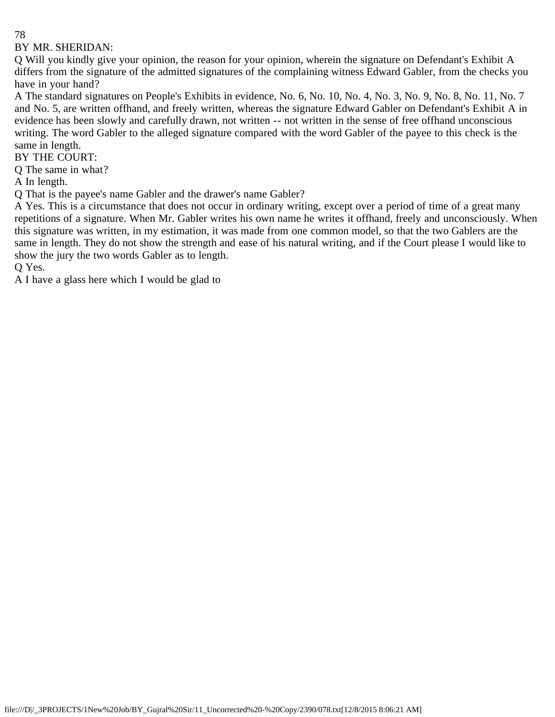# BY MR. SHERIDAN:

Q Will you kindly give your opinion, the reason for your opinion, wherein the signature on Defendant's Exhibit A differs from the signature of the admitted signatures of the complaining witness Edward Gabler, from the checks you have in your hand?

A The standard signatures on People's Exhibits in evidence, No. 6, No. 10, No. 4, No. 3, No. 9, No. 8, No. 11, No. 7 and No. 5, are written offhand, and freely written, whereas the signature Edward Gabler on Defendant's Exhibit A in evidence has been slowly and carefully drawn, not written -- not written in the sense of free offhand unconscious writing. The word Gabler to the alleged signature compared with the word Gabler of the payee to this check is the same in length.

BY THE COURT:

Q The same in what?

A In length.

Q That is the payee's name Gabler and the drawer's name Gabler?

A Yes. This is a circumstance that does not occur in ordinary writing, except over a period of time of a great many repetitions of a signature. When Mr. Gabler writes his own name he writes it offhand, freely and unconsciously. When this signature was written, in my estimation, it was made from one common model, so that the two Gablers are the same in length. They do not show the strength and ease of his natural writing, and if the Court please I would like to show the jury the two words Gabler as to length.

Q Yes.

A I have a glass here which I would be glad to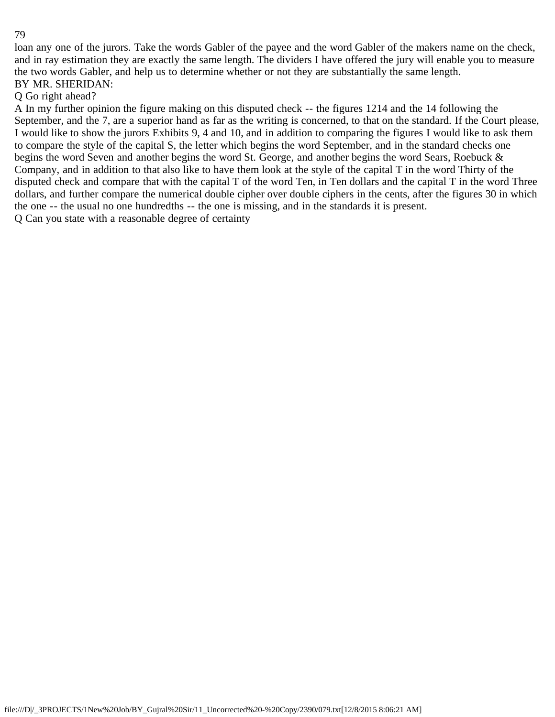loan any one of the jurors. Take the words Gabler of the payee and the word Gabler of the makers name on the check, and in ray estimation they are exactly the same length. The dividers I have offered the jury will enable you to measure the two words Gabler, and help us to determine whether or not they are substantially the same length. BY MR. SHERIDAN:

## Q Go right ahead?

A In my further opinion the figure making on this disputed check -- the figures 1214 and the 14 following the September, and the 7, are a superior hand as far as the writing is concerned, to that on the standard. If the Court please, I would like to show the jurors Exhibits 9, 4 and 10, and in addition to comparing the figures I would like to ask them to compare the style of the capital S, the letter which begins the word September, and in the standard checks one begins the word Seven and another begins the word St. George, and another begins the word Sears, Roebuck & Company, and in addition to that also like to have them look at the style of the capital T in the word Thirty of the disputed check and compare that with the capital T of the word Ten, in Ten dollars and the capital T in the word Three dollars, and further compare the numerical double cipher over double ciphers in the cents, after the figures 30 in which the one -- the usual no one hundredths -- the one is missing, and in the standards it is present. Q Can you state with a reasonable degree of certainty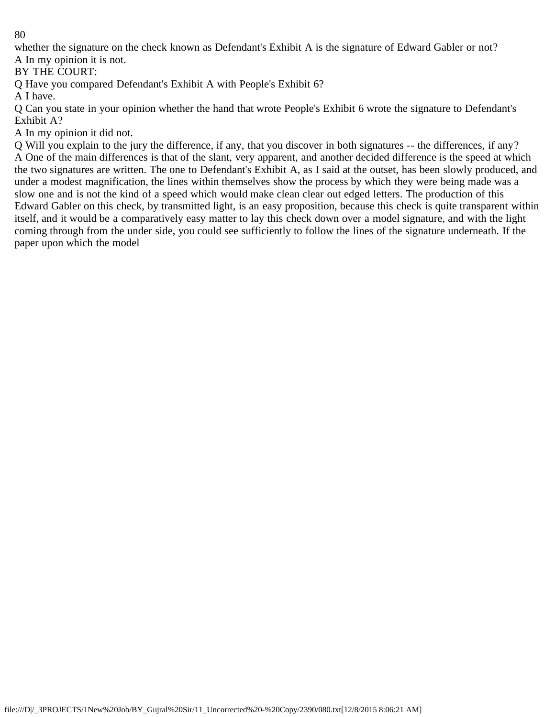whether the signature on the check known as Defendant's Exhibit A is the signature of Edward Gabler or not? A In my opinion it is not.

BY THE COURT:

Q Have you compared Defendant's Exhibit A with People's Exhibit 6?

A I have.

Q Can you state in your opinion whether the hand that wrote People's Exhibit 6 wrote the signature to Defendant's Exhibit A?

A In my opinion it did not.

Q Will you explain to the jury the difference, if any, that you discover in both signatures -- the differences, if any? A One of the main differences is that of the slant, very apparent, and another decided difference is the speed at which the two signatures are written. The one to Defendant's Exhibit A, as I said at the outset, has been slowly produced, and under a modest magnification, the lines within themselves show the process by which they were being made was a slow one and is not the kind of a speed which would make clean clear out edged letters. The production of this Edward Gabler on this check, by transmitted light, is an easy proposition, because this check is quite transparent within itself, and it would be a comparatively easy matter to lay this check down over a model signature, and with the light coming through from the under side, you could see sufficiently to follow the lines of the signature underneath. If the paper upon which the model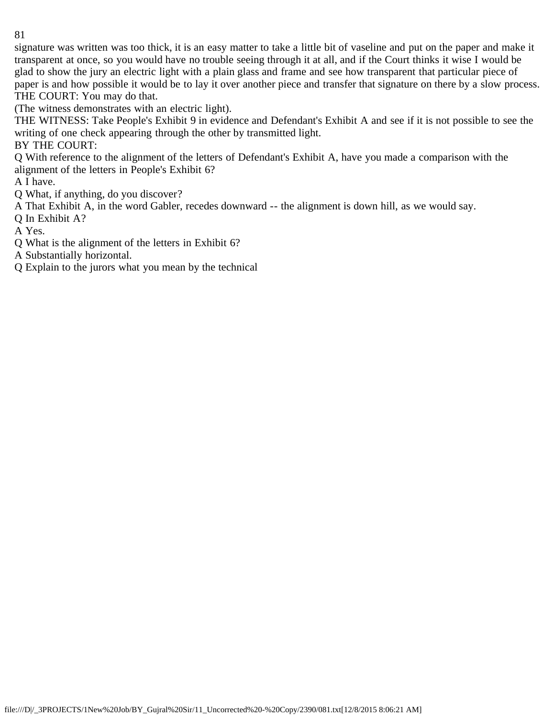signature was written was too thick, it is an easy matter to take a little bit of vaseline and put on the paper and make it transparent at once, so you would have no trouble seeing through it at all, and if the Court thinks it wise I would be glad to show the jury an electric light with a plain glass and frame and see how transparent that particular piece of paper is and how possible it would be to lay it over another piece and transfer that signature on there by a slow process. THE COURT: You may do that.

(The witness demonstrates with an electric light).

THE WITNESS: Take People's Exhibit 9 in evidence and Defendant's Exhibit A and see if it is not possible to see the writing of one check appearing through the other by transmitted light.

BY THE COURT:

Q With reference to the alignment of the letters of Defendant's Exhibit A, have you made a comparison with the alignment of the letters in People's Exhibit 6?

A I have.

Q What, if anything, do you discover?

A That Exhibit A, in the word Gabler, recedes downward -- the alignment is down hill, as we would say.

Q In Exhibit A?

A Yes.

Q What is the alignment of the letters in Exhibit 6?

A Substantially horizontal.

Q Explain to the jurors what you mean by the technical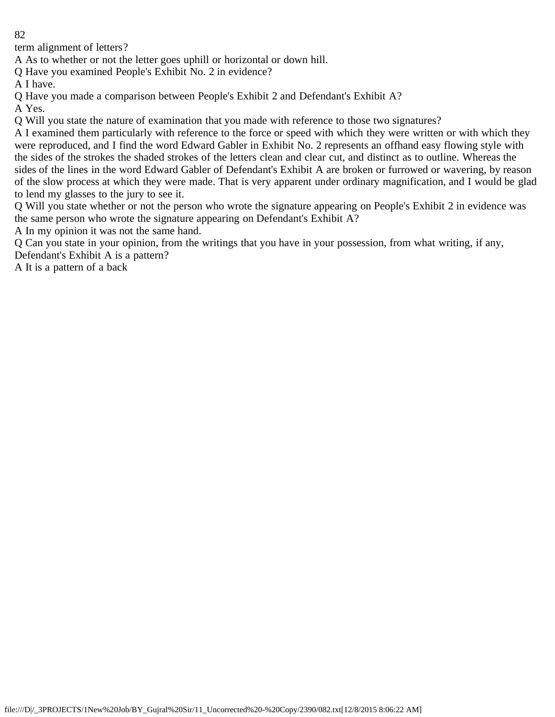term alignment of letters?

A As to whether or not the letter goes uphill or horizontal or down hill.

Q Have you examined People's Exhibit No. 2 in evidence?

A I have.

Q Have you made a comparison between People's Exhibit 2 and Defendant's Exhibit A?

A Yes.

Q Will you state the nature of examination that you made with reference to those two signatures?

A I examined them particularly with reference to the force or speed with which they were written or with which they were reproduced, and I find the word Edward Gabler in Exhibit No. 2 represents an offhand easy flowing style with the sides of the strokes the shaded strokes of the letters clean and clear cut, and distinct as to outline. Whereas the sides of the lines in the word Edward Gabler of Defendant's Exhibit A are broken or furrowed or wavering, by reason of the slow process at which they were made. That is very apparent under ordinary magnification, and I would be glad to lend my glasses to the jury to see it.

Q Will you state whether or not the person who wrote the signature appearing on People's Exhibit 2 in evidence was the same person who wrote the signature appearing on Defendant's Exhibit A?

A In my opinion it was not the same hand.

Q Can you state in your opinion, from the writings that you have in your possession, from what writing, if any, Defendant's Exhibit A is a pattern?

A It is a pattern of a back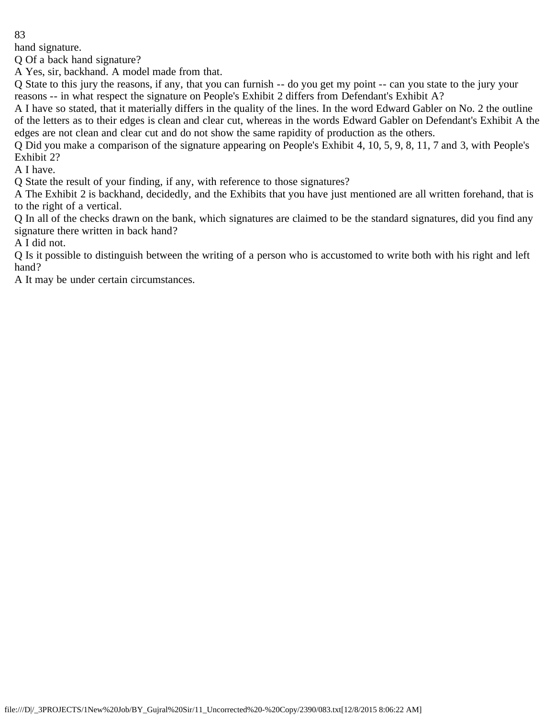hand signature.

Q Of a back hand signature?

A Yes, sir, backhand. A model made from that.

Q State to this jury the reasons, if any, that you can furnish -- do you get my point -- can you state to the jury your reasons -- in what respect the signature on People's Exhibit 2 differs from Defendant's Exhibit A?

A I have so stated, that it materially differs in the quality of the lines. In the word Edward Gabler on No. 2 the outline of the letters as to their edges is clean and clear cut, whereas in the words Edward Gabler on Defendant's Exhibit A the edges are not clean and clear cut and do not show the same rapidity of production as the others.

Q Did you make a comparison of the signature appearing on People's Exhibit 4, 10, 5, 9, 8, 11, 7 and 3, with People's Exhibit 2?

A I have.

Q State the result of your finding, if any, with reference to those signatures?

A The Exhibit 2 is backhand, decidedly, and the Exhibits that you have just mentioned are all written forehand, that is to the right of a vertical.

Q In all of the checks drawn on the bank, which signatures are claimed to be the standard signatures, did you find any signature there written in back hand?

A I did not.

Q Is it possible to distinguish between the writing of a person who is accustomed to write both with his right and left hand?

A It may be under certain circumstances.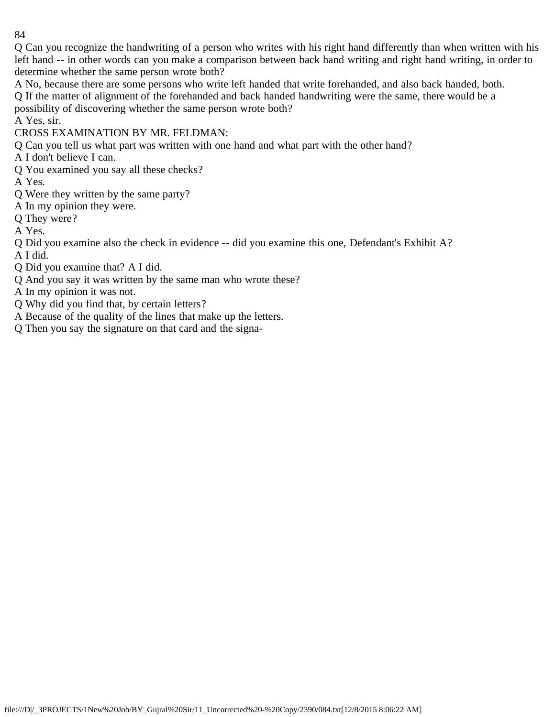Q Can you recognize the handwriting of a person who writes with his right hand differently than when written with his left hand -- in other words can you make a comparison between back hand writing and right hand writing, in order to determine whether the same person wrote both?

A No, because there are some persons who write left handed that write forehanded, and also back handed, both. Q If the matter of alignment of the forehanded and back handed handwriting were the same, there would be a possibility of discovering whether the same person wrote both?

A Yes, sir.

CROSS EXAMINATION BY MR. FELDMAN:

Q Can you tell us what part was written with one hand and what part with the other hand?

A I don't believe I can.

Q You examined you say all these checks?

A Yes.

- Q Were they written by the same party?
- A In my opinion they were.

Q They were?

A Yes.

Q Did you examine also the check in evidence -- did you examine this one, Defendant's Exhibit A? A I did.

Q Did you examine that? A I did.

Q And you say it was written by the same man who wrote these?

A In my opinion it was not.

Q Why did you find that, by certain letters?

A Because of the quality of the lines that make up the letters.

Q Then you say the signature on that card and the signa-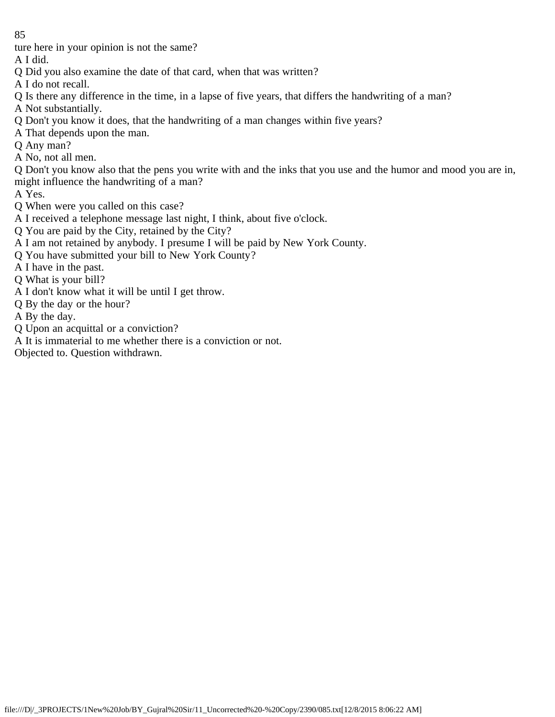ture here in your opinion is not the same?

A I did.

- Q Did you also examine the date of that card, when that was written?
- A I do not recall.
- Q Is there any difference in the time, in a lapse of five years, that differs the handwriting of a man?
- A Not substantially.
- Q Don't you know it does, that the handwriting of a man changes within five years?
- A That depends upon the man.
- Q Any man?
- A No, not all men.

Q Don't you know also that the pens you write with and the inks that you use and the humor and mood you are in, might influence the handwriting of a man?

A Yes.

- Q When were you called on this case?
- A I received a telephone message last night, I think, about five o'clock.
- Q You are paid by the City, retained by the City?
- A I am not retained by anybody. I presume I will be paid by New York County.
- Q You have submitted your bill to New York County?
- A I have in the past.
- Q What is your bill?
- A I don't know what it will be until I get throw.
- Q By the day or the hour?
- A By the day.
- Q Upon an acquittal or a conviction?
- A It is immaterial to me whether there is a conviction or not.
- Objected to. Question withdrawn.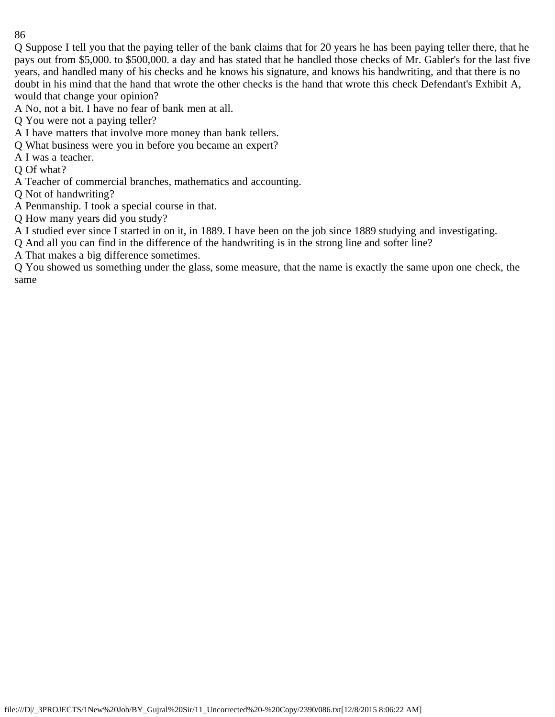Q Suppose I tell you that the paying teller of the bank claims that for 20 years he has been paying teller there, that he pays out from \$5,000. to \$500,000. a day and has stated that he handled those checks of Mr. Gabler's for the last five years, and handled many of his checks and he knows his signature, and knows his handwriting, and that there is no doubt in his mind that the hand that wrote the other checks is the hand that wrote this check Defendant's Exhibit A, would that change your opinion?

A No, not a bit. I have no fear of bank men at all.

- Q You were not a paying teller?
- A I have matters that involve more money than bank tellers.
- Q What business were you in before you became an expert?
- A I was a teacher.
- Q Of what?
- A Teacher of commercial branches, mathematics and accounting.
- Q Not of handwriting?
- A Penmanship. I took a special course in that.
- Q How many years did you study?

A I studied ever since I started in on it, in 1889. I have been on the job since 1889 studying and investigating.

Q And all you can find in the difference of the handwriting is in the strong line and softer line?

A That makes a big difference sometimes.

Q You showed us something under the glass, some measure, that the name is exactly the same upon one check, the same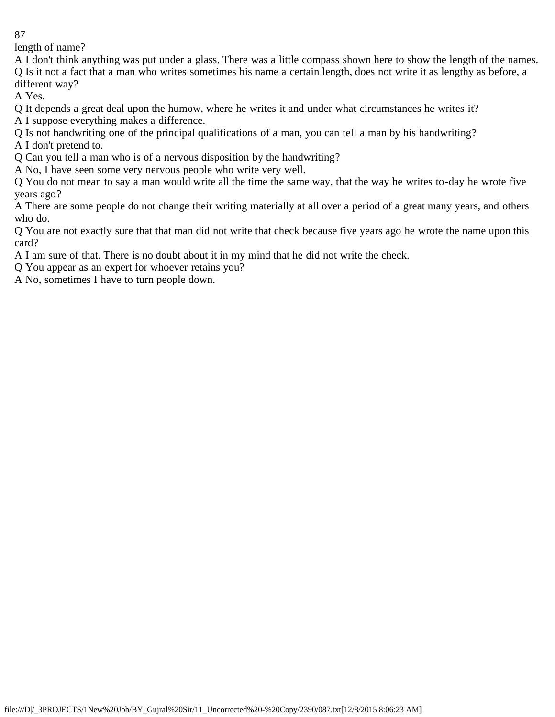length of name?

A I don't think anything was put under a glass. There was a little compass shown here to show the length of the names. Q Is it not a fact that a man who writes sometimes his name a certain length, does not write it as lengthy as before, a different way?

A Yes.

Q It depends a great deal upon the humow, where he writes it and under what circumstances he writes it?

A I suppose everything makes a difference.

Q Is not handwriting one of the principal qualifications of a man, you can tell a man by his handwriting? A I don't pretend to.

Q Can you tell a man who is of a nervous disposition by the handwriting?

A No, I have seen some very nervous people who write very well.

Q You do not mean to say a man would write all the time the same way, that the way he writes to-day he wrote five years ago?

A There are some people do not change their writing materially at all over a period of a great many years, and others who do.

Q You are not exactly sure that that man did not write that check because five years ago he wrote the name upon this card?

A I am sure of that. There is no doubt about it in my mind that he did not write the check.

Q You appear as an expert for whoever retains you?

A No, sometimes I have to turn people down.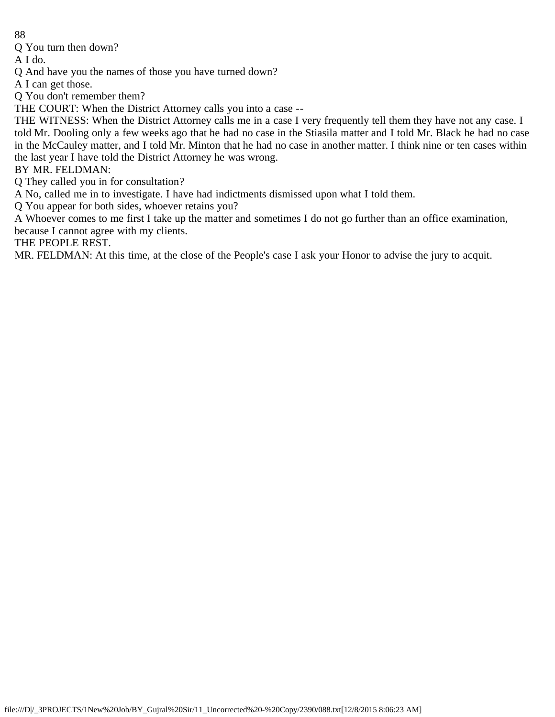Q You turn then down?

A I do.

Q And have you the names of those you have turned down?

A I can get those.

Q You don't remember them?

THE COURT: When the District Attorney calls you into a case --

THE WITNESS: When the District Attorney calls me in a case I very frequently tell them they have not any case. I told Mr. Dooling only a few weeks ago that he had no case in the Stiasila matter and I told Mr. Black he had no case in the McCauley matter, and I told Mr. Minton that he had no case in another matter. I think nine or ten cases within the last year I have told the District Attorney he was wrong.

BY MR. FELDMAN:

Q They called you in for consultation?

A No, called me in to investigate. I have had indictments dismissed upon what I told them.

Q You appear for both sides, whoever retains you?

A Whoever comes to me first I take up the matter and sometimes I do not go further than an office examination, because I cannot agree with my clients.

THE PEOPLE REST.

MR. FELDMAN: At this time, at the close of the People's case I ask your Honor to advise the jury to acquit.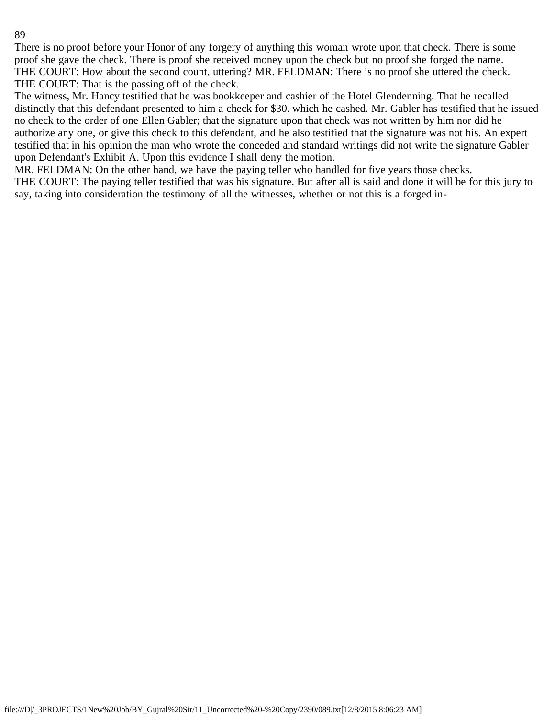There is no proof before your Honor of any forgery of anything this woman wrote upon that check. There is some proof she gave the check. There is proof she received money upon the check but no proof she forged the name. THE COURT: How about the second count, uttering? MR. FELDMAN: There is no proof she uttered the check. THE COURT: That is the passing off of the check.

The witness, Mr. Hancy testified that he was bookkeeper and cashier of the Hotel Glendenning. That he recalled distinctly that this defendant presented to him a check for \$30. which he cashed. Mr. Gabler has testified that he issued no check to the order of one Ellen Gabler; that the signature upon that check was not written by him nor did he authorize any one, or give this check to this defendant, and he also testified that the signature was not his. An expert testified that in his opinion the man who wrote the conceded and standard writings did not write the signature Gabler upon Defendant's Exhibit A. Upon this evidence I shall deny the motion.

MR. FELDMAN: On the other hand, we have the paying teller who handled for five years those checks.

THE COURT: The paying teller testified that was his signature. But after all is said and done it will be for this jury to say, taking into consideration the testimony of all the witnesses, whether or not this is a forged in-